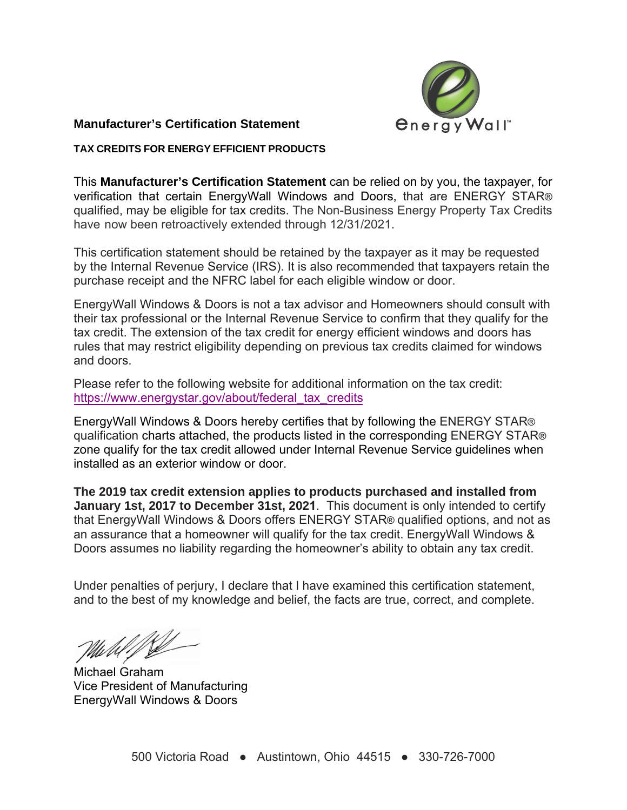

## **Manufacturer's Certification Statement**

## **TAX CREDITS FOR ENERGY EFFICIENT PRODUCTS**

This **Manufacturer's Certification Statement** can be relied on by you, the taxpayer, for verification that certain EnergyWall Windows and Doors, that are ENERGY STAR® qualified, may be eligible for tax credits. The Non-Business Energy Property Tax Credits have now been retroactively extended through 12/31/2021.

This certification statement should be retained by the taxpayer as it may be requested by the Internal Revenue Service (IRS). It is also recommended that taxpayers retain the purchase receipt and the NFRC label for each eligible window or door.

EnergyWall Windows & Doors is not a tax advisor and Homeowners should consult with their tax professional or the Internal Revenue Service to confirm that they qualify for the tax credit. The extension of the tax credit for energy efficient windows and doors has rules that may restrict eligibility depending on previous tax credits claimed for windows and doors.

Please refer to the following website for additional information on the tax credit: https://www.energystar.gov/about/federal\_tax\_credits

EnergyWall Windows & Doors hereby certifies that by following the ENERGY STAR® qualification charts attached, the products listed in the corresponding ENERGY STAR® zone qualify for the tax credit allowed under Internal Revenue Service guidelines when installed as an exterior window or door.

**The 2019 tax credit extension applies to products purchased and installed from January 1st, 2017 to December 31st, 2021**. This document is only intended to certify that EnergyWall Windows & Doors offers ENERGY STAR® qualified options, and not as an assurance that a homeowner will qualify for the tax credit. EnergyWall Windows & Doors assumes no liability regarding the homeowner's ability to obtain any tax credit.

Under penalties of perjury, I declare that I have examined this certification statement, and to the best of my knowledge and belief, the facts are true, correct, and complete.

Michael Graham Vice President of Manufacturing EnergyWall Windows & Doors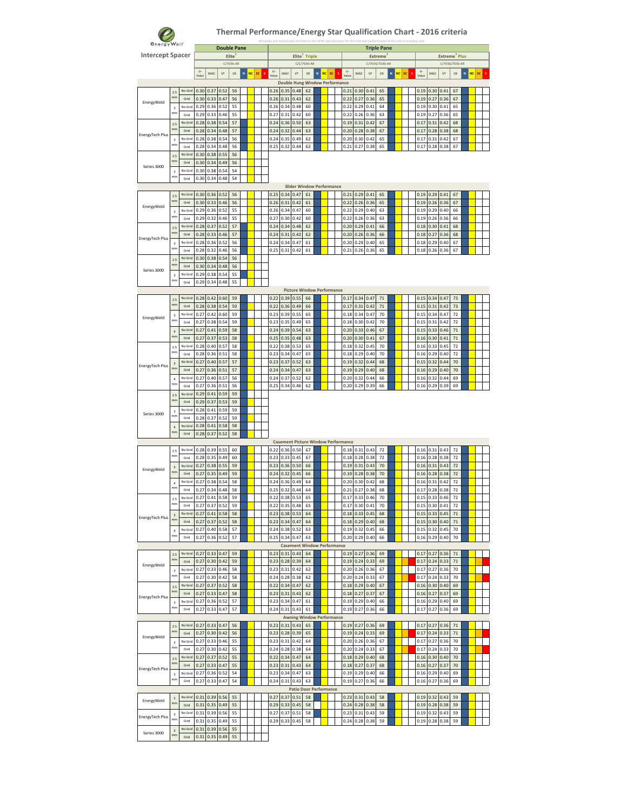

| <b><i><u>energy Wall</u></i></b> |                               |                 |              |              | <b>Double Pane</b> |           |   |                 |                      |              |                                          |                           |             |                 |                                            |              | <b>Triple Pane</b> |                |   |           |    |                  |                   |                           |          |             |                 |  |
|----------------------------------|-------------------------------|-----------------|--------------|--------------|--------------------|-----------|---|-----------------|----------------------|--------------|------------------------------------------|---------------------------|-------------|-----------------|--------------------------------------------|--------------|--------------------|----------------|---|-----------|----|------------------|-------------------|---------------------------|----------|-------------|-----------------|--|
| <b>Intercept Spacer</b>          |                               |                 |              |              |                    | Elite     |   |                 |                      |              |                                          | Elite <sup>3</sup> Triple |             |                 |                                            |              |                    | <b>Extreme</b> |   |           |    |                  |                   | Extreme <sup>3</sup> Plus |          |             |                 |  |
|                                  |                               |                 |              |              |                    | C/7036-AR |   |                 |                      |              |                                          | C/C/7036-AR               |             |                 |                                            |              | C/7036/7036-AR     |                |   |           |    |                  |                   | C/7036/7036-KR            |          |             |                 |  |
|                                  |                               |                 | U-<br>Value  | <b>SHGC</b>  | VT                 | CR        | N | <b>NC</b><br>sc | $\mathsf{U}$<br>Valu | SHGC         | VT                                       | CR                        | $\mathbf N$ | <b>NC</b><br>sc | U-<br>Valu                                 | SHGC         | VT                 | CR             | N | <b>NC</b> | sc | U-<br>s<br>Value | SHGC              | VT                        | CR       | $\mathbf N$ | <b>NC</b><br>sc |  |
|                                  |                               |                 |              |              |                    |           |   |                 |                      |              | <b>Double Hung Window Performance</b>    |                           |             |                 |                                            |              |                    |                |   |           |    |                  |                   |                           |          |             |                 |  |
|                                  | 2.5<br>mm                     | No Grid<br>Grid | 0.30<br>0.30 | 0.37<br>0.33 | 0.52<br>0.47       | 56<br>56  |   |                 | 0.26<br>0.26         | 0.35<br>0.31 | 0.48<br>0.43                             | 62<br>62                  |             |                 | 0.21<br>0.22                               | 0.30<br>0.27 | 0.41<br>0.36       | 65<br>65       |   |           |    | 0.19<br>0.19     | 0.30<br>0.27      | 0.41<br>0.36              | 67<br>67 |             |                 |  |
| EnergyWeld                       | $\overline{\mathbf{3}}$       | No Grid         | 0.29         | 0.36         | 0.52               | 55        |   |                 | 0.26                 | 0.34         | 0.48                                     | 60                        |             |                 | 0.22                                       | 0.29         | 0.41               | 64             |   |           |    | 0.19             | 0.30              | 0.41                      | 65       |             |                 |  |
|                                  | mm                            | Grid            | 0.29         | 0.33         | 0.46               | 55        |   |                 | 0.27                 | 0.31         | 0.42                                     | 60                        |             |                 | 0.22                                       | 0.26         | 0.36               | 63             |   |           |    | 0.19             | 0.27              | 0.36                      | 65       |             |                 |  |
|                                  | 2.5<br>mm                     | No Grid         | 0.28         | 0.38         | 0.54               | 57        |   |                 | 0.24                 | 0.36         | 0.50                                     | 63                        |             |                 | 0.19                                       | 0.31         | 0.42               | 67             |   |           |    | 0.17             | 0.31              | 0.42                      | 68       |             |                 |  |
| EnergyTech Plus                  |                               | Grid<br>No Grid | 0.28<br>0.28 | 0.34<br>0.38 | 0.48<br>0.54       | 57<br>56  |   |                 | 0.24<br>0.24         | 0.32<br>0.35 | 0.44<br>0.49                             | 63<br>62                  |             |                 | 0.20<br>0.20                               | 0.28<br>0.30 | 0.38<br>0.42       | 67<br>65       |   |           |    | 0.17<br>0.17     | 0.28<br>$_{0.31}$ | 0.38<br>0.42              | 68<br>67 |             |                 |  |
|                                  | $\overline{\mathbf{3}}$<br>mm | Grid            | 0.28         | 0.34         | 0.48               | 56        |   |                 | 0.25                 | 0.32         | 0.44                                     | 62                        |             |                 | 0.21                                       | 0.27         | 0.38               | 65             |   |           |    | 0.17             | 0.28              | 0.38                      | 67       |             |                 |  |
|                                  | 2.5                           | No Grid         | 0.30         | 0.38         | 0.55               | 56        |   |                 |                      |              |                                          |                           |             |                 |                                            |              |                    |                |   |           |    |                  |                   |                           |          |             |                 |  |
| Series 3000                      | mm                            | Grid            | 0.30         | 0.34         | 0.49               | 56        |   |                 |                      |              |                                          |                           |             |                 |                                            |              |                    |                |   |           |    |                  |                   |                           |          |             |                 |  |
|                                  | $\overline{3}$<br>mm          | No Grid<br>Grid | 0.30         | 0.38         | 0.54               | 54        |   |                 |                      |              |                                          |                           |             |                 |                                            |              |                    |                |   |           |    |                  |                   |                           |          |             |                 |  |
|                                  |                               |                 | 0.30         | 0.34         | 0.48               | 54        |   |                 |                      |              | <b>Slider Window Performance</b>         |                           |             |                 |                                            |              |                    |                |   |           |    |                  |                   |                           |          |             |                 |  |
|                                  | 2.5                           | No Grid         | 0.30         |              | $0.36$ $0.52$      | 56        |   |                 | 0.25                 | 0.34         | 0.47                                     | 61                        |             |                 | 0.21                                       | 0.29         | 0.41               | 65             |   |           |    | 0.19             | 0.29              | 0.41                      | 67       |             |                 |  |
| EnergyWeld                       | mm                            | Grid            | 0.30         | 0.33         | 0.46               | 56        |   |                 | 0.26                 | 0.31         | 0.42                                     | 61                        |             |                 | 0.22                                       | 0.26         | 0.36               | 65             |   |           |    | 0.19             | 0.26              | 0.36                      | 67       |             |                 |  |
|                                  | $\overline{\mathbf{3}}$<br>mm | No Grid         | 0.29         | 0.36         | 0.52               | 55        |   |                 | 0.26                 | 0.34         | 0.47                                     | 60                        |             |                 | 0.22                                       | 0.29         | 0.40               | 63             |   |           |    | 0.19             | 0.29              | 0.40                      | 66       |             |                 |  |
|                                  | 2.5                           | Grid<br>No Grid | 0.29<br>0.28 | 0.32<br>0.37 | 0.46<br>0.52       | 55<br>57  |   |                 | 0.27<br>0.24         | 0.30<br>0.34 | 0.42<br>0.48                             | 60<br>62                  |             |                 | 0.22<br>0.20                               | 0.26<br>0.29 | 0.36<br>0.41       | 63<br>66       |   |           |    | 0.19<br>0.18     | 0.26<br>0.30      | 0.36<br>0.41              | 66<br>68 |             |                 |  |
|                                  | mm                            | Grid            | 0.28         | 0.33         | 0.46               | 57        |   |                 | 0.24                 | 0.31         | 0.42                                     | 62                        |             |                 | 0.20                                       | 0.26         | 0.36               | 66             |   |           |    | 0.18             | 0.27              | 0.36                      | 68       |             |                 |  |
| EnergyTech Plus                  | $\mathsf 3$                   | No Grid         | 0.28         | 0.36         | 0.52               | 56        |   |                 | 0.24                 | 0.34         | 0.47                                     | 61                        |             |                 | 0.20                                       | 0.29         | 0.40               | 65             |   |           |    | 0.18             | 0.29              | 0.40                      | 67       |             |                 |  |
|                                  | mm                            | Grid            | 0.28         | 0.32         | 0.46               | 56        |   |                 | 0.25                 | 0.31         | 0.42                                     | 61                        |             |                 | 0.21                                       | 0.26         | 0.36               | 65             |   |           |    | 0.18             | 0.26              | 0.36                      | 67       |             |                 |  |
|                                  | 2.5<br>mm                     | No Grid<br>Grid | 0.30<br>0.30 | 0.38<br>0.34 | 0.54<br>0.48       | 56<br>56  |   |                 |                      |              |                                          |                           |             |                 |                                            |              |                    |                |   |           |    |                  |                   |                           |          |             |                 |  |
| Series 3000                      | $\mathsf 3$                   | No Grid         | 0.29         | 0.38         | 0.54               | 55        |   |                 |                      |              |                                          |                           |             |                 |                                            |              |                    |                |   |           |    |                  |                   |                           |          |             |                 |  |
|                                  | mm                            | Grid            | 0.29         | 0.34         | 0.48               | 55        |   |                 |                      |              |                                          |                           |             |                 |                                            |              |                    |                |   |           |    |                  |                   |                           |          |             |                 |  |
|                                  |                               |                 |              |              |                    |           |   |                 |                      |              | <b>Picture Window Performance</b>        |                           |             |                 |                                            |              |                    |                |   |           |    |                  |                   |                           |          |             |                 |  |
|                                  | 2.5<br>mm                     | No Grid<br>Grid | 0.28         | 0.42         | 0.60               | 59        |   |                 | 0.22                 | 0.39         | 0.55                                     | 66                        |             |                 | 0.17                                       | 0.34         | 0.47               | 71             |   |           |    | 0.15             | 0.34              | 0.47                      | 73       |             |                 |  |
|                                  | 3                             | No Grid         | 0.28<br>0.27 | 0.38<br>0.42 | 0.54<br>0.60       | 59<br>59  |   |                 | 0.22<br>0.23         | 0.36<br>0.39 | 0.49<br>0.55                             | 66<br>65                  |             |                 | 0.17<br>0.18                               | 0.31<br>0.34 | 0.42<br>0.47       | $71$<br>70     |   |           |    | 0.15<br>0.15     | 0.31<br>0.34      | 0.42<br>0.47              | 73<br>72 |             |                 |  |
| EnergyWeld                       | mm                            | Grid            | 0.27         | 0.38         | 0.54               | 59        |   |                 | 0.23                 | 0.35         | 0.49                                     | 65                        |             |                 | 0.18                                       | 0.30         | 0.42               | 70             |   |           |    | 0.15             | 0.31              | 0.42                      | 72       |             |                 |  |
|                                  | $\overline{4}$                | No Grid         | 0.27         | 0.41         | 0.59               | 58        |   |                 | 0.24                 | 0.39         | 0.54                                     | 63                        |             |                 | 0.20                                       | 0.33         | 0.46               | 67             |   |           |    | 0.15             | 0.33              | 0.46                      | 71       |             |                 |  |
|                                  | mm                            | Grid            | 0.27         | 0.37         | 0.53               | 58        |   |                 | 0.25                 | 0.35         | 0.48                                     | 63                        |             |                 | 0.20                                       | 0.30         | 0.41               | 67             |   |           |    | 0.16             | 0.30              | 0.41                      | 71       |             |                 |  |
|                                  | 2.5<br>mm                     | No Grid<br>Grid | 0.28<br>0.28 | 0.40<br>0.36 | 0.57<br>0.51       | 58<br>58  |   |                 | 0.22<br>0.23         | 0.38<br>0.34 | 0.53<br>0.47                             | 65<br>65                  |             |                 | 0.18<br>0.18                               | 0.32<br>0.29 | 0.45<br>0.40       | 70<br>70       |   |           |    | 0.16<br>0.16     | 0.33<br>0.29      | 0.45<br>0.40              | 72<br>72 |             |                 |  |
|                                  | $\overline{3}$                | No Grid         | 0.27         | 0.40         | 0.57               | 57        |   |                 | 0.23                 | 0.37         | 0.52                                     | 63                        |             |                 | 0.19                                       | 0.32         | 0.44               | 68             |   |           |    | 0.15             | 0.32              | 0.44                      | 70       |             |                 |  |
| EnergyTech Plus                  | mm                            | Grid            | 0.27         | 0.36         | 0.51               | 57        |   |                 | 0.24                 | 0.34         | 0.47                                     | 63                        |             |                 | 0.19                                       | 0.29         | 0.40               | 68             |   |           |    | 0.16             | 0.29              | 0.40                      | 70       |             |                 |  |
|                                  | $\ddot{a}$<br>mm              | No Grid         | 0.27         | 0.40         | 0.57               | 56        |   |                 | 0.24                 | 0.37         | 0.52                                     | 62                        |             |                 | 0.20                                       | 0.32         | 0.44               | 66             |   |           |    | 0.16             | 0.32              | 0.44                      | 69       |             |                 |  |
|                                  |                               | Grid<br>No Grid | 0.27<br>0.29 | 0.36<br>0.41 | 0.51<br>0.59       | 56<br>59  |   |                 | 0.25                 | 0.34         | 0.46                                     | 62                        |             |                 | 0.20                                       | 0.29         | 0.39               | 66             |   |           |    | 0.16             | 0.29              | 0.39                      | 69       |             |                 |  |
|                                  | 2.5<br>mm                     | Grid            | 0.29         | 0.37         | 0.53               | 59        |   |                 |                      |              |                                          |                           |             |                 |                                            |              |                    |                |   |           |    |                  |                   |                           |          |             |                 |  |
|                                  | $\overline{\mathbf{3}}$       | No Grid         | 0.28         | 0.41         | 0.59               | 59        |   |                 |                      |              |                                          |                           |             |                 |                                            |              |                    |                |   |           |    |                  |                   |                           |          |             |                 |  |
| Series 3000                      | mm                            | Grid            | 0.28         | 0.37         | 0.52               | 59        |   |                 |                      |              |                                          |                           |             |                 |                                            |              |                    |                |   |           |    |                  |                   |                           |          |             |                 |  |
|                                  | $\ddot{4}$<br>mn              | No Grid         | 0.28         | 0.41         | 0.58               | 58        |   |                 |                      |              |                                          |                           |             |                 |                                            |              |                    |                |   |           |    |                  |                   |                           |          |             |                 |  |
|                                  |                               | Grid            | 0.28         | 0.37         | 0.52               | 58        |   |                 |                      |              |                                          |                           |             |                 | <b>Casement Picture Window Performance</b> |              |                    |                |   |           |    |                  |                   |                           |          |             |                 |  |
|                                  | 2.5                           | No Grid         | 0.28         | 0.39         | 0.55               | 60        |   |                 | 0.22                 | 0.36         | 0.50                                     | 67                        |             |                 | 0.18                                       | 0.31         | 0.43               | 72             |   |           |    | 0.16             | 0.31              | 0.43                      | 72       |             |                 |  |
|                                  | mm                            | Grid            | 0.28         | 0.35         | 0.49               | 60        |   |                 | 0.23                 | 0.33         | 0.45                                     | 67                        |             |                 | 0.18                                       | 0.28         | 0.38               | 72             |   |           |    | 0.16             | 0.28              | 0.38                      | 72       |             |                 |  |
| EnergyWeld                       | $\overline{3}$<br>mm          | No Grid         | 0.27         | 0.38         | 0.55               | 59        |   |                 | 0.23                 | 0.36         | 0.50                                     | 66                        |             |                 | 0.19                                       | 0.31         | 0.43               | 70             |   |           |    | 0.16             | 0.31              | 0.43                      | 72       |             |                 |  |
|                                  |                               | Grid<br>No Grid | 0.27<br>0.27 | 0.35<br>0.38 | 0.49<br>0.54       | 59<br>58  |   |                 | 0.24<br>0.24         | 0.32<br>0.36 | 0.45<br>0.49                             | 66<br>64                  |             |                 | 0.19<br>0.20                               | 0.28<br>0.30 | 0.38<br>0.42       | 70<br>68       |   |           |    | 0.16<br>0.16     | 0.28<br>0.31      | 0.38<br>0.42              | 72<br>72 |             |                 |  |
|                                  | $\overline{4}$<br>mm          | Grid            | 0.27         | 0.34         | 0.48               | 58        |   |                 | 0.25                 | 0.32         | 0.44                                     | 64                        |             |                 | 0.21                                       | 0.27         | 0.38               | 68             |   |           |    | 0.17             | 0.28              | 0.38                      | 72       |             |                 |  |
|                                  |                               | No Grid         | 0.27         | 0.41         | 0.58               | 59        |   |                 | 0.22                 | 0.38         | 0.53                                     | 65                        |             |                 | 0.17                                       | 0.33         | 0.46               | 70             |   |           |    | 0.15             | 0.33              | 0.46                      | 72       |             |                 |  |
|                                  | mm                            | Grid            | 0.27         | 0.37         | 0.52               | 59        |   |                 | 0.22                 | 0.35         | 0.48                                     | 65                        |             |                 | 0.17                                       | 0.30         | 0.41               | 70             |   |           |    | 0.15             | 0.30              | 0.41                      | 72       |             |                 |  |
| EnergyTech Plus                  | $\overline{\mathbf{3}}$<br>mm | No Grid         | 0.27         | 0.41         | 0.58               | 58        |   |                 | 0.23                 | 0.38         | 0.53                                     | 64                        |             |                 | 0.18                                       | 0.33         | 0.45               | 68             |   |           |    | 0.15             | 0.33              | 0.45                      | 71       |             |                 |  |
|                                  |                               | Grid<br>No Grid | 0.27<br>0.27 | 0.37<br>0.40 | 0.52<br>0.58       | 58<br>57  |   |                 | 0.23<br>0.24         | 0.34<br>0.38 | 0.47<br>0.52                             | 64<br>63                  |             |                 | 0.18<br>0.19                               | 0.29<br>0.32 | 0.40<br>0.45       | 68<br>66       |   |           |    | 0.15<br>0.15     | 0.30<br>0.32      | 0.40<br>0.45              | 71<br>70 |             |                 |  |
|                                  | $\ddot{4}$<br>mm              | Grid            | 0.27         | 0.36         | 0.52               | 57        |   |                 | 0.25                 | 0.34         | 0.47                                     | 63                        |             |                 | 0.20                                       | 0.29         | 0.40               | 66             |   |           |    | 0.16             | 0.29              | 0.40                      | 70       |             |                 |  |
|                                  |                               |                 |              |              |                    |           |   |                 |                      |              | <b>Casement Window Performance</b>       |                           |             |                 |                                            |              |                    |                |   |           |    |                  |                   |                           |          |             |                 |  |
|                                  | 2.5<br>mm                     | No Grid         | 0.27         | 0.33         | 0.47               | 59        |   |                 | 0.23                 | 0.31         | 0.43                                     | 64                        |             |                 | 0.19                                       | 0.27         | 0.36               | 69             |   |           |    | 0.17             | 0.27              | 0.36                      | 71       |             |                 |  |
| EnergyWeld                       |                               | Grid<br>No Grid | 0.27<br>0.27 | 0.30<br>0.33 | 0.42<br>0.46       | 59<br>58  |   |                 | 0.23<br>0.23         | 0.28<br>0.31 | 0.39<br>0.42                             | 64<br>62                  |             |                 | 0.19<br>0.20                               | 0.24<br>0.26 | 0.33<br>0.36       | 69<br>67       |   |           |    | 0.17<br>0.17     | 0.24<br>0.27      | 0.33<br>0.36              | 71<br>70 |             |                 |  |
|                                  | $\overline{3}$<br>mm          | Grid            | 0.27         | 0.30         | 0.42               | 58        |   |                 | 0.24                 | 0.28         | 0.38                                     | 62                        |             |                 | 0.20                                       | 0.24         | 0.33               | 67             |   |           |    | 0.17             | 0.24              | 0.33                      | 70       |             |                 |  |
|                                  | 2.5                           | No Grid         | 0.27         | 0.37         | 0.52               | 58        |   |                 | 0.22                 | 0.34         | 0.47                                     | 62                        |             |                 | 0.18                                       | 0.29         | 0.40               | 67             |   |           |    | 0.16             | 0.30              | 0.40                      | 69       |             |                 |  |
| EnergyTech Plus                  | mm                            | Grid            | 0.27         | 0.33         | 0.47               | 58        |   |                 | 0.23                 | 0.31         | 0.43                                     | 62                        |             |                 | 0.18                                       | 0.27         | 0.37               | 67             |   |           |    | 0.16             | 0.27              | 0.37                      | 69       |             |                 |  |
|                                  | $\mathsf 3$<br>mm             | No Grid         | 0.27         | 0.36         | 0.52               | 57        |   |                 | 0.23                 | 0.34         | 0.47                                     | 61                        |             |                 | 0.19                                       | 0.29         | 0.40               | 66             |   |           |    | 0.16             | 0.29              | 0.40                      | 69       |             |                 |  |
|                                  |                               | Grid            | 0.27         | 0.33         | 0.47               | 57        |   |                 | 0.24                 | 0.31         | 0.43<br><b>Awning Window Performance</b> | 61                        |             |                 | 0.19                                       | 0.27         | 0.36               | 66             |   |           |    | 0.17             | 0.27              | 0.36                      | 69       |             |                 |  |
|                                  | 2.5                           | No Grid         | 0.27         | 0.33         | 0.47               | 56        |   |                 | 0.23                 | 0.31         | 0.43                                     | 65                        |             |                 | 0.19                                       | 0.27         | 0.36               | 69             |   |           |    | 0.17             | 0.27              | 0.36                      | 71       |             |                 |  |
|                                  | mm                            | Grid            | 0.27         | 0.30         | 0.42               | 56        |   |                 | 0.23                 | 0.28         | 0.39                                     | 65                        |             |                 | 0.19                                       | 0.24         | 0.33               | 69             |   |           |    | 0.17             | 0.24              | 0.33                      | 71       |             |                 |  |
| EnergyWeld                       | $\overline{\mathbf{3}}$       | No Grid         | 0.27         | 0.33         | 0.46               | 55        |   |                 | 0.23                 | 0.31         | 0.42                                     | 64                        |             |                 | 0.20                                       | 0.26         | 0.36               | 67             |   |           |    | 0.17             | 0.27              | 0.36                      | 70       |             |                 |  |
|                                  | mm                            | Grid            | 0.27         | 0.30         | 0.42               | 55        |   |                 | 0.24                 | 0.28         | 0.38                                     | 64                        |             |                 | 0.20                                       | 0.24         | 0.33               | 67             |   |           |    | 0.17             | 0.24              | 0.33                      | 70       |             |                 |  |
|                                  | 2.5<br>mm                     | No Grid<br>Grid | 0.27<br>0.27 | 0.37<br>0.33 | 0.52<br>0.47       | 55<br>55  |   |                 | 0.22<br>0.23         | 0.34<br>0.31 | 0.47<br>0.43                             | 64<br>64                  |             |                 | 0.18<br>0.18                               | 0.29<br>0.27 | 0.40<br>0.37       | 68<br>68       |   |           |    | 0.16<br>0.16     | 0.30<br>0.27      | 0.40<br>0.37              | 70<br>70 |             |                 |  |
| EnergyTech Plus                  | $\overline{\mathbf{3}}$       | No Grid         | 0.27         | 0.36         | 0.52               | 54        |   |                 | 0.23                 | 0.34         | 0.47                                     | 63                        |             |                 | 0.19                                       | 0.29         | 0.40               | 66             |   |           |    | 0.16             | 0.29              | 0.40                      | 69       |             |                 |  |
|                                  | mm                            | Grid            | 0.27         | 0.33         | 0.47               | 54        |   |                 | 0.24                 | 0.31         | 0.43                                     | 63                        |             |                 | 0.19                                       | 0.27         | 0.36               | 66             |   |           |    | 0.16             | 0.27              | 0.36                      | 69       |             |                 |  |
|                                  |                               |                 |              |              |                    |           |   |                 |                      |              | <b>Patio Door Performance</b>            |                           |             |                 |                                            |              |                    |                |   |           |    |                  |                   |                           |          |             |                 |  |
| EnergyWeld                       | $\overline{\mathbf{3}}$<br>mm | No Grid<br>Grid | 0.31         | 0.39         | 0.56               | 55        |   |                 | 0.27                 | 0.37         | 0.51                                     | 58                        |             |                 | 0.23                                       | 0.31         | 0.43               | 58             |   |           |    | 0.19             | 0.32              | 0.43                      | 59       |             |                 |  |
|                                  | $\overline{\mathbf{3}}$       | No Grid         | 0.31<br>0.31 | 0.35<br>0.39 | 0.49<br>0.56       | 55<br>55  |   |                 | 0.29<br>0.27         | 0.33<br>0.37 | 0.45<br>0.51                             | 58<br>58                  |             |                 | 0.24<br>0.23                               | 0.28<br>0.31 | 0.38<br>0.43       | 58<br>59       |   |           |    | 0.19<br>0.19     | 0.28<br>0.32      | 0.38<br>0.43              | 59<br>59 |             |                 |  |
| EnergyTech Plus                  | mm                            | Grid            | 0.31         | 0.35         | 0.49               | 55        |   |                 | 0.29                 | 0.33         | 0.45                                     | 58                        |             |                 | 0.24                                       | 0.28         | 0.38               | 59             |   |           |    | 0.19             | 0.28              | 0.38                      | 59       |             |                 |  |
| Series 3000                      | $\overline{\mathbf{3}}$       | No Grid         | 0.31         | 0.39         | 0.56               | 55        |   |                 |                      |              |                                          |                           |             |                 |                                            |              |                    |                |   |           |    |                  |                   |                           |          |             |                 |  |
|                                  | mm                            | Grid            | 0.31         | 0.35         | 0.49               | 55        |   |                 |                      |              |                                          |                           |             |                 |                                            |              |                    |                |   |           |    |                  |                   |                           |          |             |                 |  |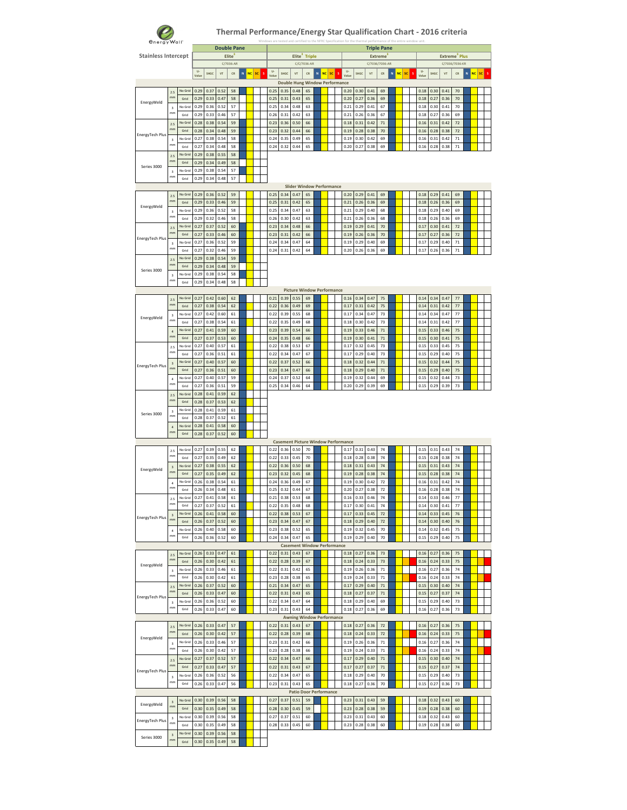

| energy Wall"               |                               |         |       |      |                    |           |               |    |              |      |                                            |                           |   |                 |              |      | for the thermal performance of the entire windo |                |   |           |         |              |      |                           |                |   |                 |  |
|----------------------------|-------------------------------|---------|-------|------|--------------------|-----------|---------------|----|--------------|------|--------------------------------------------|---------------------------|---|-----------------|--------------|------|-------------------------------------------------|----------------|---|-----------|---------|--------------|------|---------------------------|----------------|---|-----------------|--|
|                            |                               |         |       |      | <b>Double Pane</b> |           |               |    |              |      |                                            |                           |   |                 |              |      | <b>Triple Pane</b>                              |                |   |           |         |              |      |                           |                |   |                 |  |
| <b>Stainless Intercept</b> |                               |         |       |      |                    | Elite     |               |    |              |      |                                            | Elite <sup>3</sup> Triple |   |                 |              |      |                                                 | <b>Extreme</b> |   |           |         |              |      | Extreme <sup>3</sup> Plus |                |   |                 |  |
|                            |                               |         | $U -$ |      |                    | C/7036-AR |               |    | $\mathbf{u}$ |      |                                            | C/C/7036-AR               |   |                 | $\mathbf{u}$ |      | C/7036/7036-AR                                  |                |   |           |         | $\mathbf{U}$ |      |                           | C/7036/7036-KR |   |                 |  |
|                            |                               |         | Value | SHGC | VT                 | CR        | NC.<br>$\,$ N | sc | Value        | SHGC | $\sqrt{ }$                                 | CR                        | N | <b>NC</b><br>SC | Value        | SHGC | VT                                              | CR             | N | <b>NC</b> | sc<br>s | Value        | SHGC | VT                        | CR             | N | <b>NC</b><br>sc |  |
|                            |                               |         |       |      |                    |           |               |    |              |      | <b>Double Hung Window Performance</b>      |                           |   |                 |              |      |                                                 |                |   |           |         |              |      |                           |                |   |                 |  |
|                            | 2.5                           | No Grid | 0.29  | 0.37 | 0.52               | 58        |               |    | 0.25         | 0.35 | 0.48                                       | 65                        |   |                 | 0.20         | 0.30 | 0.41                                            | 69             |   |           |         | 0.18         | 0.30 | 0.41                      | 70             |   |                 |  |
| EnergyWeld                 | mm                            | Grid    | 0.29  | 0.33 | 0.47               | 58        |               |    | 0.25         | 0.31 | 0.43                                       | 65                        |   |                 | 0.20         | 0.27 | 0.36                                            | 69             |   |           |         | 0.18         | 0.27 | 0.36                      | 70             |   |                 |  |
|                            | $\overline{\mathbf{3}}$       | No Grid | 0.29  | 0.36 | 0.52               | 57        |               |    | 0.25         | 0.34 | 0.48                                       | 63                        |   |                 | 0.21         | 0.29 | 0.41                                            | 67             |   |           |         | 0.18         | 0.30 | 0.41                      | 70             |   |                 |  |
|                            | mm                            | Grid    | 0.29  | 0.33 | 0.46               | 57        |               |    | 0.26         | 0.31 | 0.42                                       | 63                        |   |                 | 0.21         | 0.26 | 0.36                                            | 67             |   |           |         | 0.18         | 0.27 | 0.36                      | 69             |   |                 |  |
|                            | 2.5                           | No Grid | 0.28  | 0.38 | 0.54               | 59        |               |    | 0.23         | 0.36 | 0.50                                       | 66                        |   |                 | 0.18         | 0.31 | 0.42                                            | $71\,$         |   |           |         | 0.16         | 0.31 | 0.42                      | $72\,$         |   |                 |  |
| EnergyTech Plus            | mm                            | Grid    | 0.28  | 0.34 | 0.48               | 59        |               |    | 0.23         | 0.32 | 0.44                                       | 66                        |   |                 | 0.19         | 0.28 | 0.38                                            | 70             |   |           |         | 0.16         | 0.28 | 0.38                      | 72             |   |                 |  |
|                            | $\overline{\mathbf{3}}$       | No Grid | 0.27  | 0.38 | 0.54               | 58        |               |    | 0.24         | 0.35 | 0.49                                       | 65                        |   |                 | 0.19         | 0.30 | 0.42                                            | 69             |   |           |         | 0.16         | 0.31 | 0.42                      | 71             |   |                 |  |
|                            | mm                            | Grid    | 0.27  | 0.34 | 0.48               | 58        |               |    | 0.24         | 0.32 | 0.44                                       | 65                        |   |                 | 0.20         | 0.27 | 0.38                                            | 69             |   |           |         | 0.16         | 0.28 | 0.38                      | $71\,$         |   |                 |  |
|                            | 2.5                           | No Grid | 0.29  | 0.38 | 0.55               | 58        |               |    |              |      |                                            |                           |   |                 |              |      |                                                 |                |   |           |         |              |      |                           |                |   |                 |  |
| Series 3000                | mn                            | Grid    | 0.29  | 0.34 | 0.49               | 58        |               |    |              |      |                                            |                           |   |                 |              |      |                                                 |                |   |           |         |              |      |                           |                |   |                 |  |
|                            | $\overline{3}$                | No Grid | 0.29  | 0.38 | 0.54               | 57        |               |    |              |      |                                            |                           |   |                 |              |      |                                                 |                |   |           |         |              |      |                           |                |   |                 |  |
|                            | mm                            | Grid    | 0.29  | 0.34 | 0.48               | 57        |               |    |              |      |                                            |                           |   |                 |              |      |                                                 |                |   |           |         |              |      |                           |                |   |                 |  |
|                            |                               |         |       |      |                    |           |               |    |              |      | <b>Slider Window Performance</b>           |                           |   |                 |              |      |                                                 |                |   |           |         |              |      |                           |                |   |                 |  |
|                            | 2.5                           | No Grid | 0.29  | 0.36 | 0.52               | 59        |               |    | 0.25         | 0.34 | 0.47                                       | 65                        |   |                 | 0.20         | 0.29 | 0.41                                            | 69             |   |           |         | 0.18         | 0.29 | 0.41                      | 69             |   |                 |  |
| EnergyWeld                 | mm                            | Grid    | 0.29  | 0.33 | 0.46               | 59        |               |    | 0.25         | 0.31 | 0.42                                       | 65                        |   |                 | 0.21         | 0.26 | 0.36                                            | 69             |   |           |         | 0.18         | 0.26 | 0.36                      | 69             |   |                 |  |
|                            | $\overline{3}$                | No Grid | 0.29  | 0.36 | 0.52               | 58        |               |    | 0.25         | 0.34 | 0.47                                       | 63                        |   |                 | 0.21         | 0.29 | 0.40                                            | 68             |   |           |         | 0.18         | 0.29 | 0.40                      | 69             |   |                 |  |
|                            | mm                            | Grid    | 0.29  | 0.32 | 0.46               | 58        |               |    | 0.26         | 0.30 | 0.42                                       | 63                        |   |                 | 0.21         | 0.26 | 0.36                                            | 68             |   |           |         | 0.18         | 0.26 | 0.36                      | 69             |   |                 |  |
|                            | 2.5                           | No Grid | 0.27  | 0.37 | 0.52               | 60        |               |    | 0.23         | 0.34 | 0.48                                       | 66                        |   |                 | 0.19         | 0.29 | 0.41                                            | 70             |   |           |         | 0.17         | 0.30 | 0.41                      | 72             |   |                 |  |
|                            | mm                            | Grid    | 0.27  | 0.33 | 0.46               | 60        |               |    | 0.23         | 0.31 | 0.42                                       | 66                        |   |                 | 0.19         | 0.26 | 0.36                                            | 70             |   |           |         | 0.17         | 0.27 | 0.36                      | $72\,$         |   |                 |  |
| EnergyTech Plus            | $\mathsf 3$                   | No Grid | 0.27  | 0.36 | 0.52               | 59        |               |    | 0.24         | 0.34 | 0.47                                       | 64                        |   |                 | 0.19         | 0.29 | 0.40                                            | 69             |   |           |         | 0.17         | 0.29 | 0.40                      | $71\,$         |   |                 |  |
|                            | mm                            | Grid    | 0.27  | 0.32 | 0.46               | 59        |               |    | 0.24         | 0.31 | 0.42                                       | 64                        |   |                 | 0.20         | 0.26 | 0.36                                            | 69             |   |           |         | 0.17         | 0.26 | 0.36                      | 71             |   |                 |  |
|                            | 2.5                           | No Grid | 0.29  | 0.38 | 0.54               | 59        |               |    |              |      |                                            |                           |   |                 |              |      |                                                 |                |   |           |         |              |      |                           |                |   |                 |  |
|                            | mm                            | Grid    | 0.29  | 0.34 | 0.48               | 59        |               |    |              |      |                                            |                           |   |                 |              |      |                                                 |                |   |           |         |              |      |                           |                |   |                 |  |
| Series 3000                | $\overline{\mathbf{3}}$       | No Grid | 0.29  | 0.38 | 0.54               | 58        |               |    |              |      |                                            |                           |   |                 |              |      |                                                 |                |   |           |         |              |      |                           |                |   |                 |  |
|                            | mm                            | Grid    | 0.29  | 0.34 | 0.48               | 58        |               |    |              |      |                                            |                           |   |                 |              |      |                                                 |                |   |           |         |              |      |                           |                |   |                 |  |
|                            |                               |         |       |      |                    |           |               |    |              |      | <b>Picture Window Performance</b>          |                           |   |                 |              |      |                                                 |                |   |           |         |              |      |                           |                |   |                 |  |
|                            | 2.5                           | No Grid | 0.27  | 0.42 | 0.60               | 62        |               |    | 0.21         | 0.39 | 0.55                                       | 69                        |   |                 | 0.16         | 0.34 | 0.47                                            | 75             |   |           |         | 0.14         | 0.34 | 0.47                      | 77             |   |                 |  |
|                            | mm                            | Grid    | 0.27  | 0.38 | 0.54               | 62        |               |    | 0.22         | 0.36 | 0.49                                       | 69                        |   |                 | 0.17         | 0.31 | 0.42                                            | 75             |   |           |         | 0.14         | 0.31 | 0.42                      | 77             |   |                 |  |
|                            | $\overline{3}$                | No Grid | 0.27  | 0.42 | 0.60               | 61        |               |    | 0.22         | 0.39 | 0.55                                       | 68                        |   |                 | 0.17         | 0.34 | 0.47                                            | 73             |   |           |         | 0.14         | 0.34 | 0.47                      | 77             |   |                 |  |
| EnergyWeld                 | mm                            | Grid    | 0.27  | 0.38 | 0.54               | 61        |               |    | 0.22         | 0.35 | 0.49                                       | 68                        |   |                 | 0.18         | 0.30 | 0.42                                            | 73             |   |           |         | 0.14         | 0.31 | 0.42                      | 77             |   |                 |  |
|                            | $\overline{4}$                | No Grid | 0.27  | 0.41 | 0.59               | 60        |               |    | 0.23         | 0.39 | 0.54                                       | 66                        |   |                 | 0.19         | 0.33 | 0.46                                            | 71             |   |           |         | 0.15         | 0.33 | 0.46                      | 75             |   |                 |  |
|                            | mm                            | Grid    | 0.27  | 0.37 | 0.53               | 60        |               |    | 0.24         | 0.35 | 0.48                                       | 66                        |   |                 | 0.19         | 0.30 | 0.41                                            | 71             |   |           |         | 0.15         | 0.30 | 0.41                      | 75             |   |                 |  |
|                            | 2.5                           | No Grid | 0.27  | 0.40 | 0.57               | 61        |               |    | 0.22         | 0.38 | 0.53                                       | 67                        |   |                 | 0.17         | 0.32 | 0.45                                            | 73             |   |           |         | 0.15         | 0.33 | 0.45                      | 75             |   |                 |  |
|                            | mm                            | Grid    | 0.27  | 0.36 | 0.51               | 61        |               |    | 0.22         | 0.34 | 0.47                                       | 67                        |   |                 | 0.17         | 0.29 | 0.40                                            | 73             |   |           |         | 0.15         | 0.29 | 0.40                      | 75             |   |                 |  |
|                            | $\overline{\mathbf{3}}$       | No Grid | 0.27  | 0.40 | 0.57               | 60        |               |    | 0.22         | 0.37 | 0.52                                       | 66                        |   |                 | 0.18         | 0.32 | 0.44                                            | $71\,$         |   |           |         | 0.15         | 0.32 | 0.44                      | 75             |   |                 |  |
| EnergyTech Plus            | mm                            | Grid    | 0.27  | 0.36 | 0.51               | 60        |               |    | 0.23         | 0.34 | 0.47                                       | 66                        |   |                 | 0.18         | 0.29 | 0.40                                            | 71             |   |           |         | 0.15         | 0.29 | 0.40                      | 75             |   |                 |  |
|                            | $\overline{4}$                | No Grid | 0.27  | 0.40 | 0.57               | 59        |               |    | 0.24         | 0.37 | 0.52                                       | 64                        |   |                 | 0.19         | 0.32 | 0.44                                            | 69             |   |           |         | 0.15         | 0.32 | 0.44                      | 73             |   |                 |  |
|                            | mm                            | Grid    | 0.27  | 0.36 | 0.51               | 59        |               |    | 0.25         | 0.34 | 0.46                                       | 64                        |   |                 | 0.20         | 0.29 | 0.39                                            | 69             |   |           |         | 0.15         | 0.29 | 0.39                      | 73             |   |                 |  |
|                            | 2.5                           | No Grid | 0.28  | 0.41 | 0.59               | 62        |               |    |              |      |                                            |                           |   |                 |              |      |                                                 |                |   |           |         |              |      |                           |                |   |                 |  |
|                            | mn                            | Grid    | 0.28  | 0.37 | 0.53               | 62        |               |    |              |      |                                            |                           |   |                 |              |      |                                                 |                |   |           |         |              |      |                           |                |   |                 |  |
|                            | $\overline{3}$                | No Grid | 0.28  | 0.41 | 0.59               | 61        |               |    |              |      |                                            |                           |   |                 |              |      |                                                 |                |   |           |         |              |      |                           |                |   |                 |  |
| Series 3000                | mm                            | Grid    | 0.28  | 0.37 | 0.52               | 61        |               |    |              |      |                                            |                           |   |                 |              |      |                                                 |                |   |           |         |              |      |                           |                |   |                 |  |
|                            | $\overline{4}$                | No Grid | 0.28  | 0.41 | 0.58               | 60        |               |    |              |      |                                            |                           |   |                 |              |      |                                                 |                |   |           |         |              |      |                           |                |   |                 |  |
|                            | mn                            | Grid    | 0.28  | 0.37 | 0.52               | 60        |               |    |              |      |                                            |                           |   |                 |              |      |                                                 |                |   |           |         |              |      |                           |                |   |                 |  |
|                            |                               |         |       |      |                    |           |               |    |              |      | <b>Casement Picture Window Performance</b> |                           |   |                 |              |      |                                                 |                |   |           |         |              |      |                           |                |   |                 |  |
|                            | 2.5                           | No Grid | 0.27  | 0.39 | 0.55               | 62        |               |    | 0.22         | 0.36 | 0.50                                       | 70                        |   |                 | 0.17         | 0.31 | 0.43                                            | 74             |   |           |         | 0.15         | 0.31 | 0.43                      | 74             |   |                 |  |
|                            | mm                            | Grid    | 0.27  | 0.35 | 0.49               | 62        |               |    | 0.22         | 0.33 | 0.45                                       | 70                        |   |                 | 0.18         | 0.28 | 0.38                                            | 74             |   |           |         | 0.15         | 0.28 | 0.38                      | 74             |   |                 |  |
|                            | $\overline{\mathbf{3}}$       | No Grid | 0.27  | 0.38 | 0.55               | 62        |               |    | 0.22         | 0.36 | 0.50                                       | 68                        |   |                 | 0.18         | 0.31 | 0.43                                            | 74             |   |           |         | 0.15         | 0.31 | 0.43                      | $74\,$         |   |                 |  |
| EnergyWeld                 | mm                            | Grid    | 0.27  | 0.35 | 0.49               | 62        |               |    | 0.23         | 0.32 | 0.45                                       | 68                        |   |                 | 0.19         | 0.28 | 0.38                                            | 74             |   |           |         | 0.15         | 0.28 | 0.38                      | $74\,$         |   |                 |  |
|                            | $\ddot{4}$                    | No Grid | 0.26  | 0.38 | 0.54               | 61        |               |    | 0.24         | 0.36 | 0.49                                       | 67                        |   |                 | 0.19         | 0.30 | 0.42                                            | 72             |   |           |         | 0.16         | 0.31 | 0.42                      | 74             |   |                 |  |
|                            | mm                            | Grid    | 0.26  | 0.34 | 0.48               | 61        |               |    | 0.25         | 0.32 | 0.44                                       | 67                        |   |                 | 0.20         | 0.27 | 0.38                                            | 72             |   |           |         | 0.16         | 0.28 | 0.38                      | 74             |   |                 |  |
|                            | 2.5                           | in Grir | በ ንን  |      | 5S                 | 61        |               |    | n 21         |      | n sa                                       |                           |   |                 |              | n 23 |                                                 | 74             |   |           |         | 0.14         |      | 0.46                      | 77             |   |                 |  |
|                            | mm                            | Grid    | 0.27  | 0.37 | 0.52               | 61        |               |    | 0.22         | 0.35 | 0.48                                       | 68                        |   |                 | 0.17         | 0.30 | 0.41                                            | 74             |   |           |         | 0.14         | 0.30 | 0.41                      | 77             |   |                 |  |
|                            | $\overline{3}$                | No Grid | 0.26  | 0.41 | 0.58               | 60        |               |    | 0.22         | 0.38 | 0.53                                       | 67                        |   |                 | 0.17         | 0.33 | 0.45                                            | 72             |   |           |         | 0.14         | 0.33 | 0.45                      | 76             |   |                 |  |
| EnergyTech Plus            | mm                            | Grid    | 0.26  | 0.37 | 0.52               | 60        |               |    | 0.23         | 0.34 | 0.47                                       | 67                        |   |                 | 0.18         | 0.29 | 0.40                                            | 72             |   |           |         | 0.14         | 0.30 | 0.40                      | 76             |   |                 |  |
|                            | $\ddot{4}$                    | No Grid | 0.26  | 0.40 | 0.58               | 60        |               |    | 0.23         | 0.38 | 0.52                                       | 65                        |   |                 | 0.19         | 0.32 | 0.45                                            | 70             |   |           |         | 0.14         | 0.32 | 0.45                      | 75             |   |                 |  |
|                            | mm                            | Grid    | 0.26  | 0.36 | 0.52               | 60        |               |    | 0.24         | 0.34 | 0.47                                       | 65                        |   |                 | 0.19         | 0.29 | 0.40                                            | 70             |   |           |         | 0.15         | 0.29 | 0.40                      | 75             |   |                 |  |
|                            |                               |         |       |      |                    |           |               |    |              |      | <b>Casement Window Performance</b>         |                           |   |                 |              |      |                                                 |                |   |           |         |              |      |                           |                |   |                 |  |
|                            | 2.5                           | No Grid | 0.26  | 0.33 | 0.47               | 61        |               |    | 0.22         | 0.31 | 0.43                                       | 67                        |   |                 | 0.18         | 0.27 | 0.36                                            | 73             |   |           |         | 0.16         | 0.27 | 0.36                      | 75             |   |                 |  |
|                            | mm                            | Grid    | 0.26  | 0.30 | 0.42               | 61        |               |    | 0.22         | 0.28 | 0.39                                       | 67                        |   |                 | 0.18         | 0.24 | 0.33                                            | 73             |   |           |         | 0.16         | 0.24 | 0.33                      | 75             |   |                 |  |
| EnergyWeld                 | $\overline{\mathbf{3}}$       | No Grid | 0.26  | 0.33 | 0.46               | 61        |               |    | 0.22         | 0.31 | 0.42                                       | 65                        |   |                 | 0.19         | 0.26 | 0.36                                            | 71             |   |           |         | 0.16         | 0.27 | 0.36                      | 74             |   |                 |  |
|                            | mm                            | Grid    | 0.26  | 0.30 | 0.42               | 61        |               |    | 0.23         | 0.28 | 0.38                                       | 65                        |   |                 | 0.19         | 0.24 | 0.33                                            | 71             |   |           |         | 0.16         | 0.24 | 0.33                      | 74             |   |                 |  |
|                            | 2.5                           | No Grid | 0.26  | 0.37 | 0.52               | 60        |               |    | 0.21         | 0.34 | 0.47                                       | 65                        |   |                 | 0.17         | 0.29 | 0.40                                            | 71             |   |           |         | 0.15         | 0.30 | 0.40                      | 74             |   |                 |  |
|                            | mm                            | Grid    | 0.26  | 0.33 | 0.47               | 60        |               |    | 0.22         | 0.31 | 0.43                                       | 65                        |   |                 | 0.18         | 0.27 | 0.37                                            | $71\,$         |   |           |         | 0.15         | 0.27 | 0.37                      | $74\,$         |   |                 |  |
| EnergyTech Plus            |                               | No Grid | 0.26  | 0.36 | 0.52               | 60        |               |    | 0.22         | 0.34 | 0.47                                       | 64                        |   |                 | 0.18         | 0.29 | 0.40                                            | 69             |   |           |         | 0.15         | 0.29 | 0.40                      | 73             |   |                 |  |
|                            | $\mathsf 3$<br>mm             | Grid    | 0.26  | 0.33 | 0.47               | 60        |               |    | 0.23         | 0.31 | 0.43                                       | 64                        |   |                 | 0.18         | 0.27 | 0.36                                            | 69             |   |           |         | 0.16         | 0.27 | 0.36                      | 73             |   |                 |  |
|                            |                               |         |       |      |                    |           |               |    |              |      | <b>Awning Window Performance</b>           |                           |   |                 |              |      |                                                 |                |   |           |         |              |      |                           |                |   |                 |  |
|                            |                               | No Grid | 0.26  | 0.33 | 0.47               | 57        |               |    | 0.22         | 0.31 | 0.43                                       | 67                        |   |                 | 0.18         | 0.27 | 0.36                                            | 72             |   |           |         | 0.16         | 0.27 | 0.36                      | 75             |   |                 |  |
|                            | 2.5<br>m <sub>m</sub>         | Grid    | 0.26  | 0.30 | 0.42               | 57        |               |    | 0.22         | 0.28 | 0.39                                       | 68                        |   |                 | 0.18         | 0.24 | 0.33                                            | 72             |   |           |         | 0.16         | 0.24 | 0.33                      | 75             |   |                 |  |
| EnergyWeld                 |                               |         | 0.26  |      |                    |           |               |    |              |      |                                            |                           |   |                 |              |      |                                                 |                |   |           |         |              |      |                           |                |   |                 |  |
|                            | $\overline{\mathbf{3}}$<br>mm | No Grid |       | 0.33 | 0.46               | 57        |               |    | 0.23         | 0.31 | 0.42                                       | 66                        |   |                 | 0.19         | 0.26 | 0.36                                            | 71             |   |           |         | 0.16         | 0.27 | 0.36                      | 74             |   |                 |  |
|                            |                               | Grid    | 0.26  | 0.30 | 0.42               | 57        |               |    | 0.23         | 0.28 | 0.38                                       | 66                        |   |                 | 0.19         | 0.24 | 0.33                                            | 71             |   |           |         | 0.16         | 0.24 | 0.33                      | 74             |   |                 |  |
|                            | 2.5                           | No Grid | 0.27  | 0.37 | 0.52               | 57        |               |    | 0.22         | 0.34 | 0.47                                       | 66                        |   |                 | 0.17         | 0.29 | 0.40                                            | 71             |   |           |         | 0.15         | 0.30 | 0.40                      | 74             |   |                 |  |
| EnergyTech Plus            | mm                            | Grid    | 0.27  | 0.33 | 0.47               | 57        |               |    | 0.22         | 0.31 | 0.43                                       | 67                        |   |                 | 0.17         | 0.27 | 0.37                                            | 71             |   |           |         | 0.15         | 0.27 | 0.37                      | $74\,$         |   |                 |  |
|                            | $\overline{\mathbf{3}}$       | No Grid | 0.26  | 0.36 | 0.52               | 56        |               |    | 0.22         | 0.34 | 0.47                                       | 65                        |   |                 | 0.18         | 0.29 | 0.40                                            | 70             |   |           |         | 0.15         | 0.29 | 0.40                      | 73             |   |                 |  |
|                            | mm                            | Grid    | 0.26  | 0.33 | 0.47               | 56        |               |    | 0.23         | 0.31 | 0.43                                       | 65                        |   |                 | 0.18         | 0.27 | 0.36                                            | 70             |   |           |         | 0.15         | 0.27 | 0.36                      | 73             |   |                 |  |
|                            |                               |         |       |      |                    |           |               |    |              |      | <b>Patio Door Performance</b>              |                           |   |                 |              |      |                                                 |                |   |           |         |              |      |                           |                |   |                 |  |
|                            | $\overline{\mathbf{3}}$       | No Grid | 0.30  | 0.39 | 0.56               | 58        |               |    | 0.27         | 0.37 | 0.51                                       | 59                        |   |                 | 0.23         | 0.31 | 0.43                                            | 59             |   |           |         | 0.18         | 0.32 | 0.43                      | 60             |   |                 |  |
| EnergyWeld                 | mn                            | Grid    | 0.30  | 0.35 | 0.49               | 58        |               |    | 0.28         | 0.30 | 0.45                                       | 59                        |   |                 | 0.23         | 0.28 | 0.38                                            | 59             |   |           |         | 0.19         | 0.28 | 0.38                      | 60             |   |                 |  |
|                            | $\overline{\mathbf{3}}$       | No Grid | 0.30  | 0.39 | 0.56               | 58        |               |    | 0.27         | 0.37 | 0.51                                       | 60                        |   |                 | 0.23         | 0.31 | 0.43                                            | 60             |   |           |         | 0.18         | 0.32 | 0.43                      | 60             |   |                 |  |
| EnergyTech Plus            | mm                            | Grid    | 0.30  | 0.35 | 0.49               | 58        |               |    | 0.28         | 0.33 | 0.45                                       | 60                        |   |                 | 0.23         | 0.28 | 0.38                                            | 60             |   |           |         | 0.19         | 0.28 | 0.38                      | 60             |   |                 |  |
|                            | $\overline{\mathbf{3}}$       | No Grid | 0.30  | 0.39 | 0.56               | 58        |               |    |              |      |                                            |                           |   |                 |              |      |                                                 |                |   |           |         |              |      |                           |                |   |                 |  |
| Series 3000                | mm                            | Grid    | 0.30  | 0.35 | 0.49               | 58        |               |    |              |      |                                            |                           |   |                 |              |      |                                                 |                |   |           |         |              |      |                           |                |   |                 |  |
|                            |                               |         |       |      |                    |           |               |    |              |      |                                            |                           |   |                 |              |      |                                                 |                |   |           |         |              |      |                           |                |   |                 |  |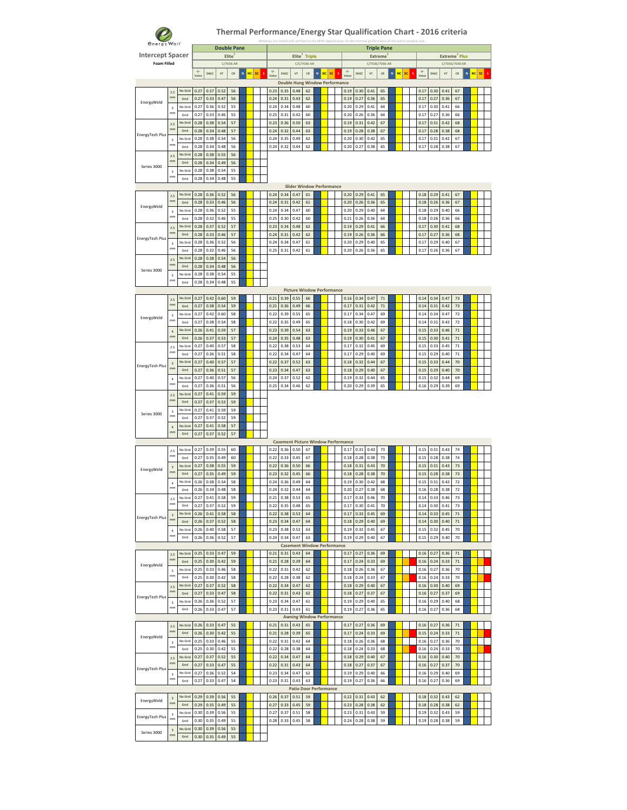

| <b><i><u>energy</u></i></b> Wall <sup>-</sup> |                               |                 |                |              | <b>Double Pane</b> |           |         |    |                       |              |                                            |                           |                |    |              |              | <b>Triple Pane</b> |                | Windows are tested and certified to the NFRC Specification for the thermal performance of the entire windo |    |   |                       |              |                           |                  |   |    |    |  |
|-----------------------------------------------|-------------------------------|-----------------|----------------|--------------|--------------------|-----------|---------|----|-----------------------|--------------|--------------------------------------------|---------------------------|----------------|----|--------------|--------------|--------------------|----------------|------------------------------------------------------------------------------------------------------------|----|---|-----------------------|--------------|---------------------------|------------------|---|----|----|--|
| <b>Intercept Spacer</b>                       |                               |                 |                |              |                    | Elite     |         |    |                       |              |                                            | Elite <sup>3</sup> Triple |                |    |              |              |                    | <b>Extreme</b> |                                                                                                            |    |   |                       |              | Extreme <sup>3</sup> Plus |                  |   |    |    |  |
| <b>Foam Filled</b>                            |                               |                 |                |              |                    | C/7036-AR |         |    |                       |              |                                            | C/C/7036-AR               |                |    |              |              | C/7036/7036-AR     |                |                                                                                                            |    |   |                       |              | C/7036/7036-KR            |                  |   |    |    |  |
|                                               |                               |                 | $U -$<br>Value | SHGC         | VT                 | CR        | N<br>NC | sc | $\mathbf{u}$<br>Value | SHGC         | $V$ T                                      | CR                        | <b>NC</b><br>N | sc | U-<br>Value  | SHGC         | VT                 | CR             | NC<br>N                                                                                                    | SC | s | $\mathbf{U}$<br>Value | SHGC         | VT                        | CR               | N | NC | sc |  |
|                                               |                               |                 |                |              |                    |           |         |    |                       |              | <b>Double Hung Window Performance</b>      |                           |                |    |              |              |                    |                |                                                                                                            |    |   |                       |              |                           |                  |   |    |    |  |
|                                               | 2.5                           | No Grid         | 0.27           | 0.37         | 0.52               | 56        |         |    | 0.23                  | 0.35         | 0.48                                       | 62                        |                |    | 0.19         | 0.30         | 0.41               | 65             |                                                                                                            |    |   | 0.17                  | 0.30         | 0.41                      | 67               |   |    |    |  |
| EnergyWeld                                    | mm                            | Grid            | 0.27           | 0.33         | 0.47               | 56        |         |    | 0.24                  | 0.31         | 0.43                                       | 62                        |                |    | 0.19         | 0.27         | 0.36               | 65             |                                                                                                            |    |   | 0.17                  | 0.27         | 0.36                      | 67               |   |    |    |  |
|                                               | $\overline{\mathbf{3}}$<br>mm | No Grid<br>Grid | 0.27<br>0.27   | 0.36<br>0.33 | 0.52<br>0.46       | 55<br>55  |         |    | 0.24<br>0.25          | 0.34<br>0.31 | 0.48<br>0.42                               | 60<br>60                  |                |    | 0.20<br>0.20 | 0.29<br>0.26 | 0.41<br>0.36       | 64<br>64       |                                                                                                            |    |   | 0.17<br>0.17          | 0.30<br>0.27 | 0.41<br>0.36              | 66<br>66         |   |    |    |  |
|                                               |                               | No Grid         | 0.28           | 0.38         | 0.54               | 57        |         |    | 0.23                  | 0.36         | 0.50                                       | 63                        |                |    | 0.19         | 0.31         | 0.42               | 67             |                                                                                                            |    |   | 0.17                  | 0.31         | 0.42                      | 68               |   |    |    |  |
|                                               | 2.5<br>mm                     | Grid            | 0.28           | 0.34         | 0.48               | 57        |         |    | 0.24                  | 0.32         | 0.44                                       | 63                        |                |    | 0.19         | 0.28         | 0.38               | 67             |                                                                                                            |    |   | 0.17                  | 0.28         | 0.38                      | 68               |   |    |    |  |
| EnergyTech Plus                               | $\overline{\mathbf{3}}$       | No Grid         | 0.28           | 0.38         | 0.54               | 56        |         |    | 0.24                  | 0.35         | 0.49                                       | 62                        |                |    | 0.20         | 0.30         | 0.42               | 65             |                                                                                                            |    |   | 0.17                  | 0.31         | 0.42                      | 67               |   |    |    |  |
|                                               | mm                            | Grid            | 0.28           | 0.34         | 0.48               | 56        |         |    | 0.24                  | 0.32         | 0.44                                       | 62                        |                |    | 0.20         | 0.27         | 0.38               | 65             |                                                                                                            |    |   | 0.17                  | 0.28         | 0.38                      | 67               |   |    |    |  |
|                                               | 2.5                           | No Grid         | 0.28           | 0.38         | 0.55               | 56        |         |    |                       |              |                                            |                           |                |    |              |              |                    |                |                                                                                                            |    |   |                       |              |                           |                  |   |    |    |  |
| Series 3000                                   | mm                            | Grid            | 0.28           | 0.34         | 0.49               | 56        |         |    |                       |              |                                            |                           |                |    |              |              |                    |                |                                                                                                            |    |   |                       |              |                           |                  |   |    |    |  |
|                                               | $\overline{3}$<br>mm          | No Grid         | 0.28           | 0.38         | 0.54               | 55        |         |    |                       |              |                                            |                           |                |    |              |              |                    |                |                                                                                                            |    |   |                       |              |                           |                  |   |    |    |  |
|                                               |                               | Grid            | 0.28           | 0.34         | 0.48               | 55        |         |    |                       |              | <b>Slider Window Performance</b>           |                           |                |    |              |              |                    |                |                                                                                                            |    |   |                       |              |                           |                  |   |    |    |  |
|                                               | 2.5                           | No Grid         | 0.28           | 0.36         | 0.52               | 56        |         |    | 0.24                  | 0.34         | 0.47                                       | 61                        |                |    | 0.20         | 0.29         | 0.41               | 65             |                                                                                                            |    |   | 0.18                  | 0.29         | 0.41                      | 67               |   |    |    |  |
|                                               | mm                            | Grid            | 0.28           | 0.33         | 0.46               | 56        |         |    | 0.24                  | 0.31         | 0.42                                       | 61                        |                |    | 0.20         | 0.26         | 0.36               | 65             |                                                                                                            |    |   | 0.18                  | 0.26         | 0.36                      | 67               |   |    |    |  |
| EnergyWeld                                    | $\overline{3}$                | No Grid         | 0.28           | 0.36         | 0.52               | 55        |         |    | 0.24                  | 0.34         | 0.47                                       | 60                        |                |    | 0.20         | 0.29         | 0.40               | 64             |                                                                                                            |    |   | 0.18                  | 0.29         | 0.40                      | 66               |   |    |    |  |
|                                               | mm                            | Grid            | 0.28           | 0.32         | 0.46               | 55        |         |    | 0.25                  | 0.30         | 0.42                                       | 60                        |                |    | 0.21         | 0.26         | 0.36               | 64             |                                                                                                            |    |   | 0.18                  | 0.26         | 0.36                      | 66               |   |    |    |  |
|                                               | 2.5                           | No Grid         | 0.28           | 0.37         | 0.52               | 57        |         |    | 0.23                  | 0.34         | 0.48                                       | 62                        |                |    | 0.19         | 0.29         | 0.41               | 66             |                                                                                                            |    |   | 0.17                  | 0.30         | 0.41                      | 68               |   |    |    |  |
| EnergyTech Plus                               | mn                            | Grid            | 0.28           | 0.33         | 0.46               | 57        |         |    | 0.24                  | 0.31         | 0.42                                       | 62                        |                |    | 0.19         | 0.26         | 0.36               | 66             |                                                                                                            |    |   | 0.17                  | 0.27         | 0.36                      | 68               |   |    |    |  |
|                                               | 3<br>mm                       | No Grid         | 0.28           | 0.36         | 0.52               | 56        |         |    | 0.24                  | 0.34         | 0.47                                       | 61                        |                |    | 0.20         | 0.29         | 0.40               | 65             |                                                                                                            |    |   | 0.17                  | 0.29         | 0.40                      | 67               |   |    |    |  |
|                                               |                               | Grid            | 0.28           | 0.32         | 0.46               | 56        |         |    | 0.25                  | 0.31         | 0.42                                       | 61                        |                |    | 0.20         | 0.26         | 0.36               | 65             |                                                                                                            |    |   | 0.17                  | 0.26         | 0.36                      | 67               |   |    |    |  |
|                                               | 2.5<br>m <sub>m</sub>         | No Grid<br>Grid | 0.28<br>0.28   | 0.38<br>0.34 | 0.54<br>0.48       | 56<br>56  |         |    |                       |              |                                            |                           |                |    |              |              |                    |                |                                                                                                            |    |   |                       |              |                           |                  |   |    |    |  |
| Series 3000                                   | $\overline{\mathbf{3}}$       | No Grid         | 0.28           | 0.38         | 0.54               | 55        |         |    |                       |              |                                            |                           |                |    |              |              |                    |                |                                                                                                            |    |   |                       |              |                           |                  |   |    |    |  |
|                                               | mm                            | Grid            | 0.28           | 0.34         | 0.48               | 55        |         |    |                       |              |                                            |                           |                |    |              |              |                    |                |                                                                                                            |    |   |                       |              |                           |                  |   |    |    |  |
|                                               |                               |                 |                |              |                    |           |         |    |                       |              | <b>Picture Window Performance</b>          |                           |                |    |              |              |                    |                |                                                                                                            |    |   |                       |              |                           |                  |   |    |    |  |
|                                               | 2.5                           | No Grid         | 0.27           | 0.42         | 0.60               | 59        |         |    | 0.21                  | 0.39         | 0.55                                       | 66                        |                |    | 0.16         | 0.34         | 0.47               | 71             |                                                                                                            |    |   | 0.14                  | 0.34         | 0.47                      | 73               |   |    |    |  |
|                                               | mm                            | Grid            | 0.27           | 0.38         | 0.54               | 59        |         |    | 0.21                  | 0.36         | 0.49                                       | 66                        |                |    | 0.17         | 0.31         | 0.42               | $71\,$         |                                                                                                            |    |   | 0.14                  | 0.31         | 0.42                      | 73               |   |    |    |  |
| EnergyWeld                                    | $\overline{3}$                | No Grid         | 0.27           | 0.42         | 0.60               | 58        |         |    | 0.22                  | 0.39         | 0.55                                       | 65                        |                |    | 0.17         | 0.34         | 0.47               | 69             |                                                                                                            |    |   | 0.14                  | 0.34         | 0.47                      | 72               |   |    |    |  |
|                                               | mm                            | Grid            | 0.27           | 0.38         | 0.54               | 58        |         |    | 0.22                  | 0.35         | 0.49                                       | 65                        |                |    | 0.18         | 0.30         | 0.42               | 69             |                                                                                                            |    |   | 0.14                  | 0.31         | 0.42                      | 72               |   |    |    |  |
|                                               | $\overline{4}$<br>mm          | No Grid         | 0.26           | 0.41         | 0.59               | 57        |         |    | 0.23                  | 0.39         | 0.54                                       | 63                        |                |    | 0.19         | 0.33         | 0.46               | 67             |                                                                                                            |    |   | 0.15                  | 0.33         | 0.46                      | 71               |   |    |    |  |
|                                               |                               | Grid            | 0.26           | 0.37         | 0.53               | 57        |         |    | 0.24                  | 0.35         | 0.48                                       | 63                        |                |    | 0.19         | 0.30         | 0.41               | 67             |                                                                                                            |    |   | 0.15                  | 0.30         | 0.41                      | 71               |   |    |    |  |
|                                               | 2.5<br>mn                     | No Grid<br>Grid | 0.27<br>0.27   | 0.40<br>0.36 | 0.57<br>0.51       | 58<br>58  |         |    | 0.22<br>0.22          | 0.38<br>0.34 | 0.53<br>0.47                               | 64<br>64                  |                |    | 0.17<br>0.17 | 0.32<br>0.29 | 0.45<br>0.40       | 69<br>69       |                                                                                                            |    |   | 0.15<br>0.15          | 0.33<br>0.29 | 0.45<br>0.40              | $71\,$<br>$71\,$ |   |    |    |  |
|                                               | $\overline{\mathbf{3}}$       | No Grid         | 0.27           | 0.40         | 0.57               | 57        |         |    | 0.22                  | 0.37         | 0.52                                       | 63                        |                |    | 0.18         | 0.32         | 0.44               | 67             |                                                                                                            |    |   | 0.15                  | 0.33         | 0.44                      | 70               |   |    |    |  |
| EnergyTech Plus                               | mm                            | Grid            | 0.27           | 0.36         | 0.51               | 57        |         |    | 0.23                  | 0.34         | 0.47                                       | 63                        |                |    | 0.18         | 0.29         | 0.40               | 67             |                                                                                                            |    |   | 0.15                  | 0.29         | 0.40                      | 70               |   |    |    |  |
|                                               | $\ddot{a}$                    | No Grid         | 0.27           | 0.40         | 0.57               | 56        |         |    | 0.24                  | 0.37         | 0.52                                       | 62                        |                |    | 0.19         | 0.32         | 0.44               | 65             |                                                                                                            |    |   | 0.15                  | 0.32         | 0.44                      | 69               |   |    |    |  |
|                                               | mm                            | Grid            | 0.27           | 0.36         | 0.51               | 56        |         |    | 0.25                  | 0.34         | 0.46                                       | 62                        |                |    | 0.20         | 0.29         | 0.39               | 65             |                                                                                                            |    |   | 0.16                  | 0.29         | 0.39                      | 69               |   |    |    |  |
|                                               | 2.5                           | No Grid         | 0.27           | 0.41         | 0.59               | 59        |         |    |                       |              |                                            |                           |                |    |              |              |                    |                |                                                                                                            |    |   |                       |              |                           |                  |   |    |    |  |
|                                               | mn                            | Grid            | 0.27           | 0.37         | 0.53               | 59        |         |    |                       |              |                                            |                           |                |    |              |              |                    |                |                                                                                                            |    |   |                       |              |                           |                  |   |    |    |  |
| Series 3000                                   | $\overline{\mathbf{3}}$<br>mm | No Grid         | 0.27           | 0.41         | 0.59               | 59        |         |    |                       |              |                                            |                           |                |    |              |              |                    |                |                                                                                                            |    |   |                       |              |                           |                  |   |    |    |  |
|                                               |                               | Grid            | 0.27           | 0.37         | 0.52               | 59        |         |    |                       |              |                                            |                           |                |    |              |              |                    |                |                                                                                                            |    |   |                       |              |                           |                  |   |    |    |  |
|                                               | $\overline{4}$<br>mn          | No Grid<br>Grid | 0.27<br>0.27   | 0.41<br>0.37 | 0.58<br>0.52       | 57<br>57  |         |    |                       |              |                                            |                           |                |    |              |              |                    |                |                                                                                                            |    |   |                       |              |                           |                  |   |    |    |  |
|                                               |                               |                 |                |              |                    |           |         |    |                       |              | <b>Casement Picture Window Performance</b> |                           |                |    |              |              |                    |                |                                                                                                            |    |   |                       |              |                           |                  |   |    |    |  |
|                                               | 2.5                           | No Grid         | 0.27           | 0.39         | 0.55               | 60        |         |    | 0.22                  | 0.36         | 0.50                                       | 67                        |                |    | 0.17         | 0.31         | 0.43               | 73             |                                                                                                            |    |   | 0.15                  | 0.31         | 0.43                      | 74               |   |    |    |  |
|                                               | mm                            | Grid            | 0.27           | 0.35         | 0.49               | 60        |         |    | 0.22                  | 0.33         | 0.45                                       | 67                        |                |    | 0.18         | 0.28         | 0.38               | 73             |                                                                                                            |    |   | 0.15                  | 0.28         | 0.38                      | 74               |   |    |    |  |
| EnergyWeld                                    | $\overline{\mathbf{3}}$       | No Grid         | 0.27           | 0.38         | 0.55               | 59        |         |    | 0.22                  | 0.36         | 0.50                                       | 66                        |                |    | 0.18         | 0.31         | 0.43               | $70$           |                                                                                                            |    |   | 0.15                  | 0.31         | 0.43                      | 73               |   |    |    |  |
|                                               | mm                            | Grid            | 0.27           | 0.35         | 0.49               | 59        |         |    | 0.23                  | 0.32         | 0.45                                       | 66                        |                |    | 0.18         | 0.28         | 0.38               | $70$           |                                                                                                            |    |   | 0.15                  | 0.28         | 0.38                      | 73               |   |    |    |  |
|                                               | $\ddot{a}$                    | No Grid         | 0.26           | 0.38         | 0.54               | 58        |         |    | 0.24                  | 0.36         | 0.49                                       | 64                        |                |    | 0.19         | 0.30         | 0.42               | 68             |                                                                                                            |    |   | 0.15                  | 0.31         | 0.42                      | 72               |   |    |    |  |
|                                               | mm                            | Grid            | 0.26           | 0.34         | 0.48               | 58        |         |    | 0.24                  | 0.32         | 0.44                                       | 64                        |                |    | 0.20         | 0.27         | 0.38               | 68             |                                                                                                            |    |   | 0.16                  | 0.28         | 0.38                      | 72               |   |    |    |  |
|                                               | 2.5<br>mm                     | in Grii         | n 27           |              | n ss               | 59        |         |    | n 21                  | 38           | 0.5°                                       |                           |                |    | n 17         | n 35         |                    | 70             |                                                                                                            |    |   | 0.14                  | 33           | 0.46                      | 72               |   |    |    |  |
|                                               |                               | Grid            | 0.27           | 0.37         | 0.52               | 59        |         |    | 0.22                  | 0.35         | 0.48                                       | 65                        |                |    | 0.17         | 0.30         | 0.41               | 70             |                                                                                                            |    |   | 0.14                  | 0.30         | 0.41                      | 73               |   |    |    |  |
| EnergyTech Plus                               | $\overline{a}$<br>mm          | No Grid<br>Grid | 0.26<br>0.26   | 0.41<br>0.37 | 0.58<br>0.52       | 58<br>58  |         |    | 0.22<br>0.23          | 0.38<br>0.34 | 0.53<br>0.47                               | 64<br>64                  |                |    | 0.17<br>0.18 | 0.33<br>0.29 | 0.45<br>0.40       | 69<br>69       |                                                                                                            |    |   | 0.14<br>0.14          | 0.33<br>0.30 | 0.45<br>0.40              | $71\,$<br>$71\,$ |   |    |    |  |
|                                               | $\overline{4}$                | No Grid         | 0.26           | 0.40         | 0.58               | 57        |         |    | 0.23                  | 0.38         | 0.52                                       | 63                        |                |    | 0.19         | 0.32         | 0.45               | 67             |                                                                                                            |    |   | 0.15                  | 0.32         | 0.45                      | 70               |   |    |    |  |
|                                               | mm                            | Grid            | 0.26           | 0.36         | 0.52               | 57        |         |    | 0.24                  | 0.34         | 0.47                                       | 63                        |                |    | 0.19         | 0.29         | 0.40               | 67             |                                                                                                            |    |   | 0.15                  | 0.29         | 0.40                      | 70               |   |    |    |  |
|                                               |                               |                 |                |              |                    |           |         |    |                       |              | <b>Casement Window Performance</b>         |                           |                |    |              |              |                    |                |                                                                                                            |    |   |                       |              |                           |                  |   |    |    |  |
|                                               | 2.5                           | No Grid         | 0.25           | 0.33         | 0.47               | 59        |         |    | 0.21                  | 0.31         | 0.43                                       | 64                        |                |    | 0.17         | 0.27         | 0.36               | 69             |                                                                                                            |    |   | 0.16                  | 0.27         | 0.36                      | $71\,$           |   |    |    |  |
| EnergyWeld                                    | mn                            | Grid            | 0.25           | 0.30         | 0.42               | 59        |         |    | 0.21                  | 0.28         | 0.39                                       | 64                        |                |    | 0.17         | 0.24         | 0.33               | 69             |                                                                                                            |    |   | 0.16                  | 0.24         | 0.33                      | $71\,$           |   |    |    |  |
|                                               | $\overline{3}$                | No Grid         | 0.25           | 0.33         | 0.46               | 58        |         |    | 0.22                  | 0.31         | 0.42                                       | 62                        |                |    | 0.18         | 0.26         | 0.36               | 67             |                                                                                                            |    |   | 0.16                  | 0.27         | 0.36                      | 70               |   |    |    |  |
|                                               | mm                            | Grid            | 0.25           | 0.30         | 0.42               | 58        |         |    | 0.22                  | 0.28         | 0.38                                       | 62                        |                |    | 0.18         | 0.24         | 0.33               | 67             |                                                                                                            |    |   | 0.16                  | 0.24         | 0.33                      | 70               |   |    |    |  |
|                                               | 2.5<br>mn                     | No Grid         | 0.27           | 0.37         | 0.52               | 58        |         |    | 0.22                  | 0.34         | 0.47                                       | 62                        |                |    | 0.18         | 0.29         | 0.40               | 67             |                                                                                                            |    |   | 0.16                  | 0.30         | 0.40                      | 69               |   |    |    |  |
| EnergyTech Plus                               |                               | Grid<br>No Grid | 0.27<br>0.26   | 0.33<br>0.36 | 0.47<br>0.52       | 58<br>57  |         |    | 0.22<br>0.23          | 0.31<br>0.34 | 0.43<br>0.47                               | 62<br>61                  |                |    | 0.18<br>0.19 | 0.27<br>0.29 | 0.37<br>0.40       | 67<br>65       |                                                                                                            |    |   | 0.16<br>0.16          | 0.27<br>0.29 | 0.37<br>0.40              | 69<br>68         |   |    |    |  |
|                                               | 3<br>mm                       | Grid            | 0.26           | 0.33         | 0.47               | 57        |         |    | 0.23                  | 0.31         | 0.43                                       | 61                        |                |    | 0.19         | 0.27         | 0.36               | 65             |                                                                                                            |    |   | 0.16                  | 0.27         | 0.36                      | 68               |   |    |    |  |
|                                               |                               |                 |                |              |                    |           |         |    |                       |              | <b>Awning Window Performance</b>           |                           |                |    |              |              |                    |                |                                                                                                            |    |   |                       |              |                           |                  |   |    |    |  |
|                                               | 2.5                           | No Grid         | 0.26           | 0.33         | 0.47               | 55        |         |    | 0.21                  | 0.31         | 0.43                                       | 65                        |                |    | 0.17         | 0.27         | 0.36               | 69             |                                                                                                            |    |   | 0.16                  | 0.27         | 0.36                      | 71               |   |    |    |  |
| EnergyWeld                                    | mm                            | Grid            | 0.26           | 0.30         | 0.42               | 55        |         |    | 0.21                  | 0.28         | 0.39                                       | 65                        |                |    | 0.17         | 0.24         | 0.33               | 69             |                                                                                                            |    |   | 0.15                  | 0.24         | 0.33                      | $71\,$           |   |    |    |  |
|                                               | $\mathsf 3$                   | No Grid         | 0.25           | 0.33         | 0.46               | 55        |         |    | 0.22                  | 0.31         | 0.42                                       | 64                        |                |    | 0.18         | 0.26         | 0.36               | 68             |                                                                                                            |    |   | 0.16                  | 0.27         | 0.36                      | 70               |   |    |    |  |
|                                               | mm                            | Grid            | 0.25           | 0.30         | 0.42               | 55        |         |    | 0.22                  | 0.28         | 0.38                                       | 64                        |                |    | 0.18         | 0.24         | 0.33               | 68             |                                                                                                            |    |   | 0.16                  | 0.24         | 0.33                      | 70               |   |    |    |  |
|                                               | 2.5<br>mm                     | No Grid         | 0.27           | 0.37         | 0.52               | 55        |         |    | 0.22                  | 0.34         | 0.47                                       | 64                        |                |    | 0.18         | 0.29         | 0.40               | 67             |                                                                                                            |    |   | 0.16                  | 0.30         | 0.40                      | 70               |   |    |    |  |
| EnergyTech Plus                               |                               | Grid            | 0.27           | 0.33         | 0.47               | 55        |         |    | 0.22                  | 0.31         | 0.43                                       | 64                        |                |    | 0.18         | 0.27         | 0.37               | 67             |                                                                                                            |    |   | 0.16                  | 0.27         | 0.37                      | 70               |   |    |    |  |
|                                               | $\overline{\mathbf{z}}$<br>mm | No Grid         | 0.27           | 0.36         | 0.52               | 54        |         |    | 0.23                  | 0.34         | 0.47                                       | 62                        |                |    | 0.19         | 0.29         | 0.40               | 66             |                                                                                                            |    |   | 0.16                  | 0.29         | 0.40                      | 69               |   |    |    |  |
|                                               |                               | Grid            | 0.27           | 0.33         | 0.47               | 54        |         |    | 0.23                  | 0.31         | 0.43<br><b>Patio Door Performance</b>      | 63                        |                |    | 0.19         | 0.27         | 0.36               | 66             |                                                                                                            |    |   | 0.16                  | 0.27         | 0.36                      | 69               |   |    |    |  |
|                                               | $\overline{\mathbf{3}}$       | No Grid         | 0.29           | 0.39         | 0.56               | 55        |         |    | 0.26                  | 0.37         | 0.51                                       | 59                        |                |    | 0.22         | 0.31         | 0.43               | 62             |                                                                                                            |    |   | 0.18                  | 0.32         | 0.43                      | 62               |   |    |    |  |
| EnergyWeld                                    | mm                            | Grid            | 0.29           | 0.35         | 0.49               | 55        |         |    | 0.27                  | 0.33         | 0.45                                       | 59                        |                |    | 0.23         | 0.28         | 0.38               | 62             |                                                                                                            |    |   | 0.18                  | 0.28         | 0.38                      | 62               |   |    |    |  |
|                                               | $\overline{\mathbf{3}}$       | No Grid         | 0.30           | 0.39         | 0.56               | 55        |         |    | 0.27                  | 0.37         | 0.51                                       | 58                        |                |    | 0.23         | 0.31         | 0.43               | 59             |                                                                                                            |    |   | 0.19                  | 0.32         | 0.43                      | 59               |   |    |    |  |
| EnergyTech Plus                               | mn                            | Grid            | 0.30           | 0.35         | 0.49               | 55        |         |    | 0.28                  | 0.33         | 0.45                                       | 58                        |                |    | 0.24         | 0.28         | 0.38               | 59             |                                                                                                            |    |   | 0.19                  | 0.28         | 0.38                      | 59               |   |    |    |  |
| Series 3000                                   | $\overline{\mathbf{3}}$       | No Grid         | 0.30           | 0.39         | 0.56               | 55        |         |    |                       |              |                                            |                           |                |    |              |              |                    |                |                                                                                                            |    |   |                       |              |                           |                  |   |    |    |  |
|                                               | mm                            | Grid            | 0.30           | 0.35         | 0.49               | 55        |         |    |                       |              |                                            |                           |                |    |              |              |                    |                |                                                                                                            |    |   |                       |              |                           |                  |   |    |    |  |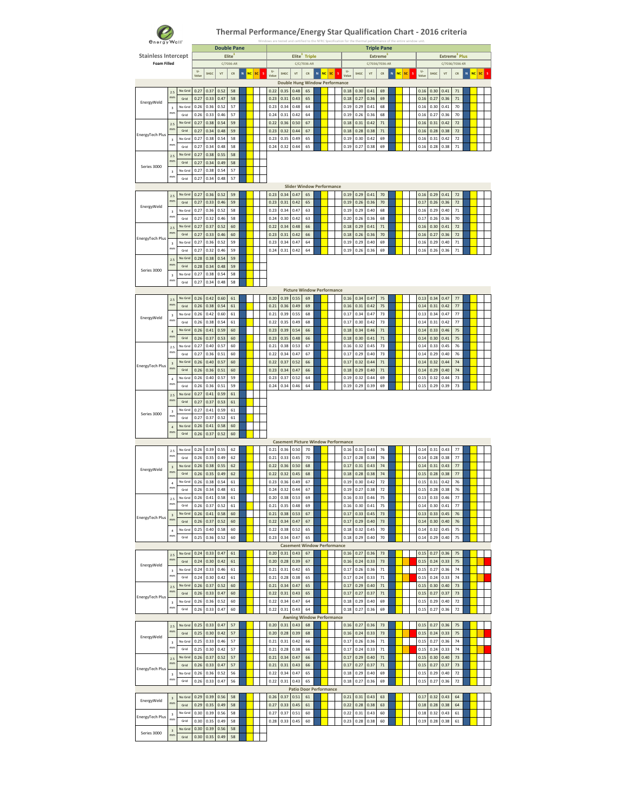

| energy Wall"               |                               |                 |              |              |              | <b>Double Pane</b> |                |    |                  |              |                                       |                           |        |                 |                                            |              | <b>Triple Pane</b> |                  |   |                        |   |              |              |                           |              |        |     |    |  |
|----------------------------|-------------------------------|-----------------|--------------|--------------|--------------|--------------------|----------------|----|------------------|--------------|---------------------------------------|---------------------------|--------|-----------------|--------------------------------------------|--------------|--------------------|------------------|---|------------------------|---|--------------|--------------|---------------------------|--------------|--------|-----|----|--|
| <b>Stainless Intercept</b> |                               |                 |              |              |              | Elite              |                |    |                  |              |                                       | Elite <sup>3</sup> Triple |        |                 |                                            |              |                    | <b>Extreme</b>   |   |                        |   |              |              | Extreme <sup>3</sup> Plus |              |        |     |    |  |
| <b>Foam Filled</b>         |                               |                 |              |              |              | C/7036-AR          |                |    |                  |              |                                       | C/C/7036-AR               |        |                 |                                            |              |                    | C/7036/7036-AR   |   |                        |   |              |              | C/7036/7036-KR            |              |        |     |    |  |
|                            |                               |                 | U-<br>Value  | SHGC         | $V$ T        | CR                 | <b>NC</b><br>N | sc | U-<br>s<br>Value | SHGC         | VT                                    | ${\sf CR}$                | $\,$ N | <b>NC</b><br>sc | U-<br>Valu                                 | SHGC         | VT                 | CR               | N | <b>NC</b><br><b>SC</b> | s | U.<br>Valu   | SHGC         | VT                        | CR           | $\,$ N | NC. | sc |  |
|                            |                               |                 |              |              |              |                    |                |    |                  |              | <b>Double Hung Window Performance</b> |                           |        |                 |                                            |              |                    |                  |   |                        |   |              |              |                           |              |        |     |    |  |
|                            | 2.5<br>mm                     | No Grid         | 0.27         | 0.37         | 0.52         | 58                 |                |    | 0.22             | 0.35         | 0.48                                  | 65                        |        |                 | 0.18                                       | 0.30         | 0.41               | 69               |   |                        |   | 0.16         | 0.30         | 0.41                      | 71           |        |     |    |  |
| EnergyWeld                 |                               | Grid<br>No Grid | 0.27<br>0.26 | 0.33<br>0.36 | 0.47<br>0.52 | 58<br>57           |                |    | 0.23<br>0.23     | 0.31<br>0.34 | 0.43<br>0.48                          | 65<br>64                  |        |                 | 0.18<br>0.19                               | 0.27<br>0.29 | 0.36<br>0.41       | 69<br>68         |   |                        |   | 0.16<br>0.16 | 0.27<br>0.30 | 0.36<br>0.41              | $71$<br>70   |        |     |    |  |
|                            | $\overline{\mathbf{3}}$<br>mm | Grid            | 0.26         | 0.33         | 0.46         | 57                 |                |    | 0.24             | 0.31         | 0.42                                  | 64                        |        |                 | 0.19                                       | 0.26         | 0.36               | 68               |   |                        |   | 0.16         | 0.27         | 0.36                      | 70           |        |     |    |  |
|                            | 2.5                           | No Grid         | 0.27         | 0.38         | 0.54         | 59                 |                |    | 0.22             | 0.36         | 0.50                                  | 67                        |        |                 | 0.18                                       | 0.31         | 0.42               | 71               |   |                        |   | 0.16         | 0.31         | 0.42                      | 72           |        |     |    |  |
|                            | mm                            | Grid            | 0.27         | 0.34         | 0.48         | 59                 |                |    | 0.23             | 0.32         | 0.44                                  | 67                        |        |                 | 0.18                                       | 0.28         | 0.38               | 71               |   |                        |   | 0.16         | 0.28         | 0.38                      | 72           |        |     |    |  |
| EnergyTech Plus            | $\overline{\mathbf{3}}$       | No Grid         | 0.27         | 0.38         | 0.54         | 58                 |                |    | 0.23             | 0.35         | 0.49                                  | 65                        |        |                 | 0.19                                       | 0.30         | 0.42               | 69               |   |                        |   | 0.16         | 0.31         | 0.42                      | 72           |        |     |    |  |
|                            | mm                            | Grid            | 0.27         | 0.34         | 0.48         | 58                 |                |    | 0.24             | 0.32         | 0.44                                  | 65                        |        |                 | 0.19                                       | 0.27         | 0.38               | 69               |   |                        |   | 0.16         | 0.28         | 0.38                      | $71\,$       |        |     |    |  |
|                            | 2.5                           | No Grid         | 0.27         | 0.38         | 0.55         | 58                 |                |    |                  |              |                                       |                           |        |                 |                                            |              |                    |                  |   |                        |   |              |              |                           |              |        |     |    |  |
| Series 3000                | mm                            | Grid            | 0.27         | 0.34         | 0.49         | 58                 |                |    |                  |              |                                       |                           |        |                 |                                            |              |                    |                  |   |                        |   |              |              |                           |              |        |     |    |  |
|                            | $\overline{\mathbf{3}}$<br>mm | No Grid<br>Grid | 0.27         | 0.38         | 0.54         | 57                 |                |    |                  |              |                                       |                           |        |                 |                                            |              |                    |                  |   |                        |   |              |              |                           |              |        |     |    |  |
|                            |                               |                 | 0.27         | 0.34         | 0.48         | 57                 |                |    |                  |              | <b>Slider Window Performance</b>      |                           |        |                 |                                            |              |                    |                  |   |                        |   |              |              |                           |              |        |     |    |  |
|                            | 2.5                           | No Grid         | 0.27         | 0.36         | 0.52         | 59                 |                |    | 0.23             | 0.34         | 0.47                                  | 65                        |        |                 | 0.19                                       | 0.29         | 0.41               | 70               |   |                        |   | 0.16         | 0.29         | 0.41                      | $72\,$       |        |     |    |  |
|                            | mm                            | Grid            | 0.27         | 0.33         | 0.46         | 59                 |                |    | 0.23             | 0.31         | 0.42                                  | 65                        |        |                 | 0.19                                       | 0.26         | 0.36               | 70               |   |                        |   | 0.17         | 0.26         | 0.36                      | 72           |        |     |    |  |
| EnergyWeld                 | $\overline{\mathbf{3}}$       | No Grid         | 0.27         | 0.36         | 0.52         | 58                 |                |    | 0.23             | 0.34         | 0.47                                  | 63                        |        |                 | 0.19                                       | 0.29         | 0.40               | 68               |   |                        |   | 0.16         | 0.29         | 0.40                      | 71           |        |     |    |  |
|                            | mm                            | Grid            | 0.27         | 0.32         | 0.46         | 58                 |                |    | 0.24             | 0.30         | 0.42                                  | 63                        |        |                 | 0.20                                       | 0.26         | 0.36               | 68               |   |                        |   | 0.17         | 0.26         | 0.36                      | 70           |        |     |    |  |
|                            | 2.5                           | No Grid         | 0.27         | 0.37         | 0.52         | 60                 |                |    | 0.22             | 0.34         | 0.48                                  | 66                        |        |                 | 0.18                                       | 0.29         | 0.41               | $71\,$           |   |                        |   | 0.16         | 0.30         | 0.41                      | $72\,$       |        |     |    |  |
| EnergyTech Plus            | mm                            | Grid            | 0.27         | 0.33         | 0.46         | 60                 |                |    | 0.23             | 0.31         | 0.42                                  | 66                        |        |                 | 0.18                                       | 0.26         | 0.36               | 70               |   |                        |   | 0.16         | 0.27         | 0.36                      | 72           |        |     |    |  |
|                            | $\mathsf 3$<br>mm             | No Grid         | 0.27         | 0.36         | 0.52         | 59                 |                |    | 0.23             | 0.34         | 0.47                                  | 64                        |        |                 | 0.19                                       | 0.29         | 0.40               | 69               |   |                        |   | 0.16         | 0.29         | 0.40                      | 71           |        |     |    |  |
|                            |                               | Grid<br>No Grid | 0.27<br>0.28 | 0.32<br>0.38 | 0.46<br>0.54 | 59<br>59           |                |    | 0.24             | 0.31         | 0.42                                  | 64                        |        |                 | 0.19                                       | 0.26         | 0.36               | 69               |   |                        |   | 0.16         | 0.26         | 0.36                      | $71\,$       |        |     |    |  |
|                            | 2.5<br>mm                     | Grid            | 0.28         | 0.34         | 0.48         | 59                 |                |    |                  |              |                                       |                           |        |                 |                                            |              |                    |                  |   |                        |   |              |              |                           |              |        |     |    |  |
| Series 3000                | $\mathsf 3$                   | No Grid         | 0.27         | 0.38         | 0.54         | 58                 |                |    |                  |              |                                       |                           |        |                 |                                            |              |                    |                  |   |                        |   |              |              |                           |              |        |     |    |  |
|                            | mm                            | Grid            | 0.27         | 0.34         | 0.48         | 58                 |                |    |                  |              |                                       |                           |        |                 |                                            |              |                    |                  |   |                        |   |              |              |                           |              |        |     |    |  |
|                            |                               |                 |              |              |              |                    |                |    |                  |              | <b>Picture Window Performance</b>     |                           |        |                 |                                            |              |                    |                  |   |                        |   |              |              |                           |              |        |     |    |  |
|                            | 2.5                           | No Grid         | 0.26         | 0.42         | 0.60         | 61                 |                |    | 0.20             | 0.39         | 0.55                                  | 69                        |        |                 | 0.16                                       | 0.34         | 0.47               | 75               |   |                        |   | 0.13         | 0.34         | 0.47                      | 77           |        |     |    |  |
|                            | mm                            | Grid            | 0.26         | 0.38         | 0.54         | 61                 |                |    | 0.21             | 0.36         | 0.49                                  | 69                        |        |                 | 0.16                                       | 0.31         | 0.42               | 75               |   |                        |   | 0.14         | 0.31         | 0.42                      | $77\,$       |        |     |    |  |
| EnergyWeld                 | $\overline{\mathbf{3}}$       | No Grid         | 0.26         | 0.42         | 0.60         | 61                 |                |    | 0.21             | 0.39         | 0.55                                  | 68                        |        |                 | 0.17                                       | 0.34         | 0.47               | 73               |   |                        |   | 0.13         | 0.34         | 0.47                      | 77           |        |     |    |  |
|                            | mm                            | Grid            | 0.26         | 0.38         | 0.54         | 61                 |                |    | 0.22             | 0.35         | 0.49                                  | 68                        |        |                 | 0.17                                       | 0.30         | 0.42               | 73               |   |                        |   | 0.14         | 0.31         | 0.42                      | 77           |        |     |    |  |
|                            | $\ddot{a}$<br>mm              | No Grid         | 0.26         | 0.41         | 0.59         | 60                 |                |    | 0.23             | 0.39         | 0.54                                  | 66                        |        |                 | 0.18                                       | 0.34         | 0.46               | 71               |   |                        |   | 0.14         | 0.33         | 0.46                      | 75           |        |     |    |  |
|                            |                               | Grid            | 0.26         | 0.37         | 0.53         | 60                 |                |    | 0.23             | 0.35         | 0.48                                  | 66                        |        |                 | 0.18                                       | 0.30         | 0.41               | $71\,$           |   |                        |   | 0.14         | 0.30         | 0.41                      | 75           |        |     |    |  |
|                            | 2.5<br>mm                     | No Grid         | 0.27         | 0.40         | 0.57         | 60                 |                |    | 0.21             | 0.38         | 0.53                                  | 67                        |        |                 | 0.16                                       | 0.32         | 0.45               | 73               |   |                        |   | 0.14         | 0.33         | 0.45                      | 76           |        |     |    |  |
|                            |                               | Grid            | 0.27<br>0.26 | 0.36<br>0.40 | 0.51<br>0.57 | 60<br>60           |                |    | 0.22<br>0.22     | 0.34<br>0.37 | 0.47<br>0.52                          | 67<br>66                  |        |                 | 0.17<br>0.17                               | 0.29<br>0.32 | 0.40<br>0.44       | 73<br>71         |   |                        |   | 0.14<br>0.14 | 0.29<br>0.32 | 0.40<br>0.44              | 76<br>74     |        |     |    |  |
| EnergyTech Plus            | $\overline{\mathbf{3}}$<br>mm | No Grid<br>Grid | 0.26         | 0.36         | 0.51         | 60                 |                |    | 0.23             | 0.34         | 0.47                                  | 66                        |        |                 | 0.18                                       | 0.29         | 0.40               | 71               |   |                        |   | 0.14         | 0.29         | 0.40                      | 74           |        |     |    |  |
|                            |                               | No Grid         | 0.26         | 0.40         | 0.57         | 59                 |                |    | 0.23             | 0.37         | 0.52                                  | 64                        |        |                 | 0.19                                       | 0.32         | 0.44               | 69               |   |                        |   | 0.15         | 0.32         | 0.44                      | 73           |        |     |    |  |
|                            | $\ddot{a}$<br>mm              | Grid            | 0.26         | 0.36         | 0.51         | 59                 |                |    | 0.24             | 0.34         | 0.46                                  | 64                        |        |                 | 0.19                                       | 0.29         | 0.39               | 69               |   |                        |   | 0.15         | 0.29         | 0.39                      | 73           |        |     |    |  |
|                            | 2.5                           | No Grid         | 0.27         | 0.41         | 0.59         | 61                 |                |    |                  |              |                                       |                           |        |                 |                                            |              |                    |                  |   |                        |   |              |              |                           |              |        |     |    |  |
|                            | mm                            | Grid            | 0.27         | 0.37         | 0.53         | 61                 |                |    |                  |              |                                       |                           |        |                 |                                            |              |                    |                  |   |                        |   |              |              |                           |              |        |     |    |  |
|                            | $\overline{\mathbf{3}}$       | No Grid         | 0.27         | 0.41         | 0.59         | 61                 |                |    |                  |              |                                       |                           |        |                 |                                            |              |                    |                  |   |                        |   |              |              |                           |              |        |     |    |  |
| Series 3000                | mm                            | Grid            | 0.27         | 0.37         | 0.52         | 61                 |                |    |                  |              |                                       |                           |        |                 |                                            |              |                    |                  |   |                        |   |              |              |                           |              |        |     |    |  |
|                            | $\ddot{a}$                    | No Grid         | 0.26         | 0.41         | 0.58         | 60                 |                |    |                  |              |                                       |                           |        |                 |                                            |              |                    |                  |   |                        |   |              |              |                           |              |        |     |    |  |
|                            | mm                            | Grid            | 0.26         | 0.37         | 0.52         | 60                 |                |    |                  |              |                                       |                           |        |                 |                                            |              |                    |                  |   |                        |   |              |              |                           |              |        |     |    |  |
|                            |                               |                 |              |              |              |                    |                |    |                  |              |                                       |                           |        |                 | <b>Casement Picture Window Performance</b> |              |                    |                  |   |                        |   |              |              |                           |              |        |     |    |  |
|                            | 2.5<br>mm                     | No Grid         | 0.26         | 0.39         | 0.55         | 62                 |                |    | 0.21             | 0.36         | 0.50                                  | 70                        |        |                 | 0.16                                       | 0.31         | 0.43               | 76               |   |                        |   | 0.14         | 0.31         | 0.43                      | 77           |        |     |    |  |
|                            |                               | Grid            | 0.26         | 0.35         | 0.49         | 62                 |                |    | 0.21             | 0.33         | 0.45                                  | 70                        |        |                 | 0.17                                       | 0.28         | 0.38               | 76               |   |                        |   | 0.14         | 0.28         | 0.38                      | 77           |        |     |    |  |
| EnergyWeld                 | $\overline{\mathbf{3}}$<br>mm | No Grid<br>Grid | 0.26<br>0.26 | 0.38<br>0.35 | 0.55<br>0.49 | 62<br>62           |                |    | 0.22<br>0.22     | 0.36<br>0.32 | 0.50<br>0.45                          | 68<br>68                  |        |                 | 0.17<br>0.18                               | 0.31<br>0.28 | 0.43<br>0.38       | $74\,$<br>$74\,$ |   |                        |   | 0.14<br>0.15 | 0.31<br>0.28 | 0.43<br>0.38              | $77\,$<br>77 |        |     |    |  |
|                            |                               | No Grid         | 0.26         | 0.38         | 0.54         | 61                 |                |    | 0.23             | 0.36         | 0.49                                  | 67                        |        |                 | 0.19                                       | 0.30         | 0.42               | 72               |   |                        |   | 0.15         | 0.31         | 0.42                      | 76           |        |     |    |  |
|                            | 4<br>mm                       | Grid            | 0.26         | 0.34         | 0.48         | 61                 |                |    | 0.24             | 0.32         | 0.44                                  | 67                        |        |                 | 0.19                                       | 0.27         | 0.38               | 72               |   |                        |   | 0.15         | 0.28         | 0.38                      | 76           |        |     |    |  |
|                            |                               | No Grid         | 0.26         | 0.41         | 0.58         | 61                 |                |    | 0.20             | 0.38         | 0.53                                  | 69                        |        |                 | 0.16                                       | 0.33         | 0.46               | 75               |   |                        |   | 0.13         | 0.33         | 0.46                      | 77           |        |     |    |  |
|                            | mm                            | Grid            | 0.26         | 0.37         | 0.52         | 61                 |                |    | 0.21             | 0.35         | 0.48                                  | 69                        |        |                 | 0.16                                       | 0.30         | 0.41               | 75               |   |                        |   | 0.14         | 0.30         | 0.41                      | 77           |        |     |    |  |
|                            | $\overline{\mathbf{3}}$       | No Grid         | 0.26         | 0.41         | 0.58         | 60                 |                |    | 0.21             | 0.38         | 0.53                                  | 67                        |        |                 | 0.17                                       | 0.33         | 0.45               | 73               |   |                        |   | 0.13         | 0.33         | 0.45                      | 76           |        |     |    |  |
| EnergyTech Plus            | mm                            | Grid            | 0.26         | 0.37         | 0.52         | 60                 |                |    | 0.22             | 0.34         | 0.47                                  | 67                        |        |                 | 0.17                                       | 0.29         | 0.40               | 73               |   |                        |   | 0.14         | 0.30         | 0.40                      | 76           |        |     |    |  |
|                            | $\ddot{a}$                    | No Grid         | 0.25         | 0.40         | 0.58         | 60                 |                |    | 0.22             | 0.38         | 0.52                                  | 65                        |        |                 | 0.18                                       | 0.32         | 0.45               | 70               |   |                        |   | 0.14         | 0.32         | 0.45                      | 75           |        |     |    |  |
|                            | mm                            | Grid            | 0.25         | 0.36         | 0.52         | 60                 |                |    | 0.23             | 0.34         | 0.47                                  | 65                        |        |                 | 0.18                                       | 0.29         | 0.40               | 70               |   |                        |   | 0.14         | 0.29         | 0.40                      | 75           |        |     |    |  |
|                            |                               |                 |              |              |              |                    |                |    |                  |              | <b>Casement Window Performance</b>    |                           |        |                 |                                            |              |                    |                  |   |                        |   |              |              |                           |              |        |     |    |  |
|                            | 2.5<br>mm                     | No Grid         | 0.24         | 0.33         | 0.47         | 61                 |                |    | 0.20             | 0.31         | 0.43                                  | 67                        |        |                 | 0.16                                       | 0.27         | 0.36               | 73               |   |                        |   | 0.15         | 0.27         | 0.36                      | 75           |        |     |    |  |
| EnergyWeld                 |                               | Grid            | 0.24         | 0.30         | 0.42         | 61                 |                |    | 0.20             | 0.28         | 0.39                                  | 67                        |        |                 | 0.16                                       | 0.24         | 0.33               | 73               |   |                        |   | 0.15         | 0.24         | 0.33                      | 75           |        |     |    |  |
|                            | $\overline{\mathbf{3}}$<br>mm | No Grid<br>Grid | 0.24<br>0.24 | 0.33<br>0.30 | 0.46<br>0.42 | 61<br>61           |                |    | 0.21<br>0.21     | 0.31<br>0.28 | 0.42<br>0.38                          | 65<br>65                  |        |                 | 0.17<br>0.17                               | 0.26<br>0.24 | 0.36<br>0.33       | 71<br>$71\,$     |   |                        |   | 0.15<br>0.15 | 0.27<br>0.24 | 0.36<br>0.33              | 74<br>74     |        |     |    |  |
|                            |                               | No Grid         | 0.26         | 0.37         | 0.52         | 60                 |                |    | 0.21             | 0.34         | 0.47                                  | 65                        |        |                 | 0.17                                       | 0.29         | 0.40               | $71\,$           |   |                        |   | 0.15         | 0.30         | 0.40                      | 73           |        |     |    |  |
|                            | 2.5<br>mm                     | Grid            | 0.26         | 0.33         | 0.47         | 60                 |                |    | 0.22             | 0.31         | 0.43                                  | 65                        |        |                 | 0.17                                       | 0.27         | 0.37               | $71\,$           |   |                        |   | 0.15         | 0.27         | 0.37                      | 73           |        |     |    |  |
| EnergyTech Plus            | $\mathsf 3$                   | No Grid         | 0.26         | 0.36         | 0.52         | 60                 |                |    | 0.22             | 0.34         | 0.47                                  | 64                        |        |                 | 0.18                                       | 0.29         | 0.40               | 69               |   |                        |   | 0.15         | 0.29         | 0.40                      | 72           |        |     |    |  |
|                            | mm                            | Grid            | 0.26         | 0.33         | 0.47         | 60                 |                |    | 0.22             | 0.31         | 0.43                                  | 64                        |        |                 | 0.18                                       | 0.27         | 0.36               | 69               |   |                        |   | 0.15         | 0.27         | 0.36                      | 72           |        |     |    |  |
|                            |                               |                 |              |              |              |                    |                |    |                  |              | <b>Awning Window Performance</b>      |                           |        |                 |                                            |              |                    |                  |   |                        |   |              |              |                           |              |        |     |    |  |
|                            | 2.5                           | No Grid         | 0.25         | 0.33         | 0.47         | 57                 |                |    | 0.20             | 0.31         | 0.43                                  | 68                        |        |                 | 0.16                                       | 0.27         | 0.36               | 73               |   |                        |   | 0.15         | 0.27         | 0.36                      | 75           |        |     |    |  |
|                            | mm                            | Grid            | 0.25         | 0.30         | 0.42         | 57                 |                |    | 0.20             | 0.28         | 0.39                                  | 68                        |        |                 | 0.16                                       | 0.24         | 0.33               | 73               |   |                        |   | 0.15         | 0.24         | 0.33                      | 75           |        |     |    |  |
| EnergyWeld                 | $\mathsf 3$                   | No Grid         | 0.25         | 0.33         | 0.46         | 57                 |                |    | 0.21             | 0.31         | 0.42                                  | 66                        |        |                 | 0.17                                       | 0.26         | 0.36               | 71               |   |                        |   | 0.15         | 0.27         | 0.36                      | 74           |        |     |    |  |
|                            | mm                            | Grid            | 0.25         | 0.30         | 0.42         | 57                 |                |    | 0.21             | 0.28         | 0.38                                  | 66                        |        |                 | 0.17                                       | 0.24         | 0.33               | 71               |   |                        |   | 0.15         | 0.24         | 0.33                      | 74           |        |     |    |  |
|                            | 2.5                           | No Grid         | 0.26         | 0.37         | 0.52         | 57                 |                |    | 0.21             | 0.34         | 0.47                                  | 66                        |        |                 | 0.17                                       | 0.29         | 0.40               | 71               |   |                        |   | 0.15         | 0.30         | 0.40                      | 73           |        |     |    |  |
| EnergyTech Plus            | mm                            | Grid            | 0.26         | 0.33         | 0.47         | 57                 |                |    | 0.21             | 0.31         | 0.43                                  | 66                        |        |                 | 0.17                                       | 0.27         | 0.37               | $71\,$           |   |                        |   | 0.15         | 0.27         | 0.37                      | 73           |        |     |    |  |
|                            | 3<br>mm                       | No Grid         | 0.26         | 0.36         | 0.52         | 56                 |                |    | 0.22             | 0.34         | 0.47                                  | 65                        |        |                 | 0.18                                       | 0.29         | 0.40               | 69               |   |                        |   | 0.15         | 0.29         | 0.40                      | 72           |        |     |    |  |
|                            |                               | Grid            | 0.26         | 0.33         | 0.47         | 56                 |                |    | 0.22             | 0.31         | 0.43<br><b>Patio Door Performance</b> | 65                        |        |                 | 0.18                                       | 0.27         | 0.36               | 69               |   |                        |   | 0.15         | 0.27         | 0.36                      | $72\,$       |        |     |    |  |
|                            |                               | No Grid         | 0.29         | 0.39         | 0.56         | 58                 |                |    | 0.26             | 0.37         | 0.51                                  | 61                        |        |                 | 0.21                                       | 0.31         | 0.43               | 63               |   |                        |   | 0.17         | 0.32         | 0.43                      | 64           |        |     |    |  |
| EnergyWeld                 | $\overline{\mathbf{3}}$<br>mm | Grid            | 0.29         | 0.35         | 0.49         | 58                 |                |    | 0.27             | 0.33         | 0.45                                  | 61                        |        |                 | 0.22                                       | 0.28         | 0.38               | 63               |   |                        |   | 0.18         | 0.28         | 0.38                      | 64           |        |     |    |  |
|                            | $\overline{\mathbf{3}}$       | No Grid         | 0.30         | 0.39         | 0.56         | 58                 |                |    | 0.27             | 0.37         | 0.51                                  | 60                        |        |                 | 0.22                                       | 0.31         | 0.43               | 60               |   |                        |   | 0.18         | 0.32         | 0.43                      | 61           |        |     |    |  |
| EnergyTech Plus            | mm                            | Grid            | 0.30         | 0.35         | 0.49         | 58                 |                |    | 0.28             | 0.33         | 0.45                                  | 60                        |        |                 | 0.23                                       | 0.28         | 0.38               | 60               |   |                        |   | 0.19         | 0.28         | 0.38                      | 61           |        |     |    |  |
|                            | $\overline{\mathbf{3}}$       | No Gric         | 0.30         | 0.39         | 0.56         | 58                 |                |    |                  |              |                                       |                           |        |                 |                                            |              |                    |                  |   |                        |   |              |              |                           |              |        |     |    |  |
| Series 3000                | mm                            | Grid            | 0.30         | 0.35         | 0.49         | 58                 |                |    |                  |              |                                       |                           |        |                 |                                            |              |                    |                  |   |                        |   |              |              |                           |              |        |     |    |  |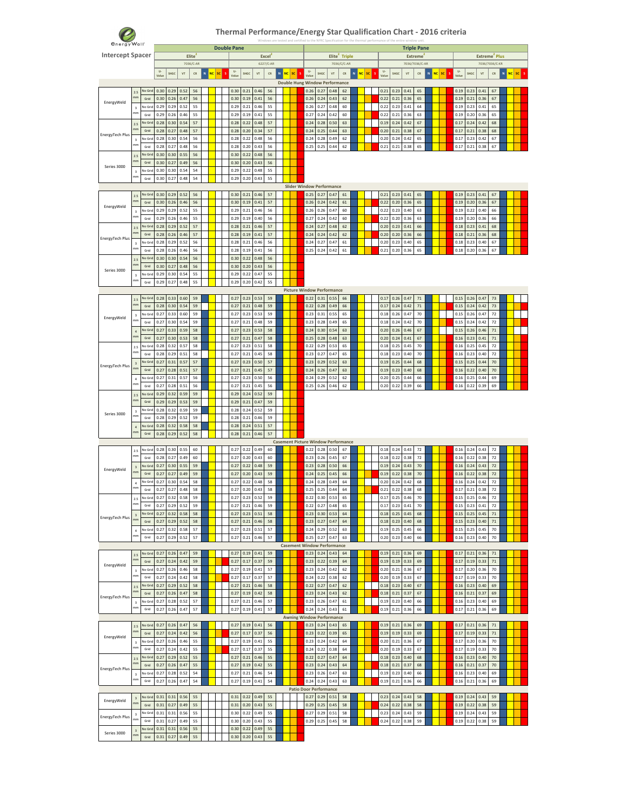

| <b><i><u>energy</u></i></b> Wall |                               |                 |                         |                  |              |                    |   |                 | <b>Double Pane</b>    |              |              |                    |                           |    |                               |              |              |                                       |                                            |                          |    |              |              |                | <b>Triple Pane</b> |            |              |              |                           |                |                |    |
|----------------------------------|-------------------------------|-----------------|-------------------------|------------------|--------------|--------------------|---|-----------------|-----------------------|--------------|--------------|--------------------|---------------------------|----|-------------------------------|--------------|--------------|---------------------------------------|--------------------------------------------|--------------------------|----|--------------|--------------|----------------|--------------------|------------|--------------|--------------|---------------------------|----------------|----------------|----|
| <b>Intercept Spacer</b>          |                               |                 |                         |                  |              | Elite <sup>2</sup> |   |                 |                       |              |              | Excel <sup>2</sup> |                           |    |                               |              |              |                                       | Elite <sup>2</sup> Triple                  |                          |    |              |              |                | <b>Extreme</b>     |            |              |              | Extreme <sup>2</sup> Plus |                |                |    |
|                                  |                               |                 |                         |                  |              | 7036/C-AR          |   |                 |                       |              |              | 6227/C-AR          |                           |    |                               |              |              |                                       | 7036/C/C-AR                                |                          |    |              |              |                | 7036/7036/C-AR     |            |              |              |                           | 7036/7036/C-KR |                |    |
|                                  |                               |                 | $\mathsf{U}$ .<br>Value | SHGC             | VT           | ${\sf CR}$         | N | sc<br><b>NC</b> | $\mathbf{U}$<br>Valur | SHGC         | VT           | ${\sf CR}$         | $\mathbf{N}$<br><b>NC</b> | sc |                               | U-<br>Value  | SHGC         | VT                                    | ${\sf CR}$                                 | $\mathbf N$<br><b>NC</b> | sc | U-<br>Valur  | SHGC         | V <sub>T</sub> | ${\sf CR}$         | N<br>NC SC | U-<br>Valu   | SHGC         | $V$ T                     | ${\sf CR}$     | N<br><b>NC</b> | sc |
|                                  |                               |                 |                         |                  |              |                    |   |                 |                       |              |              |                    |                           |    |                               |              |              | <b>Double Hung Window Performance</b> |                                            |                          |    |              |              |                |                    |            |              |              |                           |                |                |    |
|                                  | 2.5                           | No Grid         | 0.30                    | 0.29             | 0.52         | 56                 |   |                 | 0.30                  | 0.21         | 0.46         | 56                 |                           |    |                               | 0.26         | 0.27         | 0.48                                  | 62                                         |                          |    | 0.21         | 0.23         | 0.41           | 65                 |            | 0.19         | 0.23         | 0.41                      | 67             |                |    |
| EnergyWeld                       | mn                            | Grid            | 0.30                    | 0.26             | 0.47         | 56                 |   |                 | 0.30                  | 0.19         | 0.41         | 56                 |                           |    |                               | 0.26         | 0.24         | 0.43                                  | 62                                         |                          |    | 0.22         | 0.21         | 0.36           | 65                 |            | 0.19         | 0.21         | 0.36                      | 67             |                |    |
|                                  | $\overline{\mathbf{3}}$<br>mm | No Grid         | 0.29                    | 0.29             | 0.52         | 55                 |   |                 | 0.29                  | 0.21         | 0.46         | 55                 |                           |    |                               | 0.26         | 0.27         | 0.48                                  | 60                                         |                          |    | 0.22         | 0.23         | 0.41           | 64                 |            | 0.19         | 0.23         | 0.41                      | 65             |                |    |
|                                  |                               | Grid<br>No Grid | 0.29<br>0.28            | 0.26<br>0.30     | 0.46<br>0.54 | 55<br>57           |   |                 | 0.29<br>0.28          | 0.19<br>0.22 | 0.41<br>0.48 | 55<br>57           |                           |    |                               | 0.27<br>0.24 | 0.24<br>0.28 | 0.42<br>0.50                          | 60<br>63                                   |                          |    | 0.22<br>0.19 | 0.21<br>0.24 | 0.36<br>0.42   | 63<br>67           |            | 0.19<br>0.17 | 0.20<br>0.24 | 0.36<br>0.42              | 65<br>68       |                |    |
|                                  | 2.5<br>mm                     | Grid            | 0.28                    | 0.27             | 0.48         | 57                 |   |                 | 0.28                  | 0.20         | 0.34         | 57                 |                           |    |                               | 0.24         | 0.25         | 0.44                                  | 63                                         |                          |    | 0.20         | 0.21         | 0.38           | 67                 |            | 0.17         | 0.21         | 0.38                      | 68             |                |    |
| EnergyTech Plus                  | $\overline{\mathbf{3}}$       | No Grid         | 0.28                    | 0.30             | 0.54         | 56                 |   |                 | 0.28                  | 0.22         | 0.48         | 56                 |                           |    |                               | 0.24         | 0.28         | 0.49                                  | 62                                         |                          |    | 0.20         | 0.24         | 0.42           | 65                 |            | 0.17         | 0.23         | 0.42                      | 67             |                |    |
|                                  | mm                            | Grid            | 0.28                    | 0.27             | 0.48         | 56                 |   |                 | 0.28                  | 0.20         | 0.43         | 56                 |                           |    |                               | 0.25         | 0.25         | 0.44                                  | 62                                         |                          |    | 0.21         | 0.21         | 0.38           | 65                 |            | 0.17         | 0.21         | 0.38                      | 67             |                |    |
|                                  | 2.5                           | No Grid         | 0.30                    | 0.30             | 0.55         | 56                 |   |                 | 0.30                  | 0.22         | 0.48         | 56                 |                           |    |                               |              |              |                                       |                                            |                          |    |              |              |                |                    |            |              |              |                           |                |                |    |
| Series 3000                      | mm                            | Grid            | 0.30                    | 0.27             | 0.49         | 56                 |   |                 | 0.30                  | 0.20         | 0.43         | 56                 |                           |    |                               |              |              |                                       |                                            |                          |    |              |              |                |                    |            |              |              |                           |                |                |    |
|                                  | $\overline{3}$<br>mm          | No Grid         | 0.30                    | 0.30             | 0.54         | 54                 |   |                 | 0.29                  | 0.22         | 0.48         | 55                 |                           |    |                               |              |              |                                       |                                            |                          |    |              |              |                |                    |            |              |              |                           |                |                |    |
|                                  |                               | Grid            | 0.30                    | 0.27             | 0.48         | 54                 |   |                 | 0.29                  | 0.20         | 0.43         | 55                 |                           |    |                               |              |              | <b>Slider Window Performance</b>      |                                            |                          |    |              |              |                |                    |            |              |              |                           |                |                |    |
|                                  | 2.5                           | No Grid         | 0.30                    | 0.29             | 0.52         | 56                 |   |                 | 0.30                  | 0.21         | 0.46         | 57                 |                           |    |                               | 0.25         | 0.27         | 0.47                                  | 61                                         |                          |    | 0.21         | 0.23         | 0.41           | 65                 |            | 0.19         | 0.23         | 0.41                      | 67             |                |    |
|                                  | mm                            | Grid            | 0.30                    | 0.26             | 0.46         | 56                 |   |                 | 0.30                  | 0.19         | 0.41         | 57                 |                           |    |                               | 0.26         | 0.24         | 0.42                                  | 61                                         |                          |    | 0.22         | 0.20         | 0.36           | 65                 |            | 0.19         | 0.20         | 0.36                      | 67             |                |    |
| EnergyWeld                       | $\overline{\mathbf{3}}$       | No Grid         | 0.29                    | 0.29             | 0.52         | 55                 |   |                 | 0.29                  | 0.21         | 0.46         | 56                 |                           |    |                               | 0.26         | 0.26         | 0.47                                  | 60                                         |                          |    | 0.22         | 0.23         | 0.40           | 63                 |            | 0.19         | 0.22         | 0.40                      | 66             |                |    |
|                                  | mm                            | Grid            | 0.29                    | 0.26             | 0.46         | 55                 |   |                 | 0.29                  | 0.19         | 0.40         | 56                 |                           |    |                               | 0.27         | 0.24         | 0.42                                  | 60                                         |                          |    | 0.22         | 0.20         | 0.36           | 63                 |            | 0.19         | 0.20         | 0.36                      | 66             |                |    |
|                                  | 2.5                           | No Grid         | 0.28                    | 0.29             | 0.52         | 57                 |   |                 | 0.28                  | 0.21         | 0.46         | 57                 |                           |    |                               | 0.24         | 0.27         | 0.48                                  | 62                                         |                          |    | 0.20         | 0.23         | 0.41           | 66                 |            | 0.18         | 0.23         | 0.41                      | 68             |                |    |
| EnergyTech Plus                  | mm                            | Grid            | 0.28                    | 0.26             | 0.46         | 57                 |   |                 | 0.28                  | 0.19         | 0.41         | 57                 |                           |    |                               | 0.24         | 0.24         | 0.42                                  | 62                                         |                          |    | 0.20         | 0.20         | 0.36           | 66                 |            | 0.18         | 0.21         | 0.36                      | 68             |                |    |
|                                  | $\overline{\mathbf{3}}$<br>mm | No Grid         | 0.28                    | 0.29             | 0.52         | 56                 |   |                 | 0.28                  | 0.21         | 0.46         | 56                 |                           |    |                               | 0.24         | 0.27         | 0.47                                  | 61                                         |                          |    | 0.20         | 0.23         | 0.40           | 65                 |            | 0.18         | 0.23         | 0.40                      | 67             |                |    |
|                                  |                               | Grid<br>No Grid | 0.28<br>0.30            | 0.26<br>0.30     | 0.46<br>0.54 | 56<br>56           |   |                 | 0.28<br>0.30          | 0.19<br>0.22 | 0.41<br>0.48 | 56<br>56           |                           |    |                               | 0.25         | 0.24         | 0.42                                  | 61                                         |                          |    | 0.21         | 0.20         | 0.36           | 65                 |            | 0.18         | 0.20         | 0.36                      | 67             |                |    |
|                                  | 2.5<br>mn                     | Grid            | 0.30                    | 0.27             | 0.48         | 56                 |   |                 | 0.30                  | 0.20         | 0.43         | 56                 |                           |    |                               |              |              |                                       |                                            |                          |    |              |              |                |                    |            |              |              |                           |                |                |    |
| Series 3000                      | 3                             | No Grid         | 0.29                    | 0.30             | 0.54         | 55                 |   |                 | 0.29                  | 0.22         | 0.47         | 55                 |                           |    |                               |              |              |                                       |                                            |                          |    |              |              |                |                    |            |              |              |                           |                |                |    |
|                                  | mm                            | Grid            | 0.29                    | 0.27             | 0.48         | 55                 |   |                 | 0.29                  | 0.20         | 0.42         | 55                 |                           |    |                               |              |              |                                       |                                            |                          |    |              |              |                |                    |            |              |              |                           |                |                |    |
|                                  |                               |                 |                         |                  |              |                    |   |                 |                       |              |              |                    |                           |    |                               |              |              | <b>Picture Window Performance</b>     |                                            |                          |    |              |              |                |                    |            |              |              |                           |                |                |    |
|                                  | 2.5                           | No Grid         | 0.28                    | 0.33             | 0.60         | 59                 |   |                 | 0.27                  | 0.23         | 0.53         | 59                 |                           |    |                               | 0.22         | 0.31         | 0.55                                  | 66                                         |                          |    | 0.17         | 0.26         | 0.47           | $71\,$             |            | 0.15         | 0.26         | 0.47                      | 73             |                |    |
|                                  | mn                            | Grid            | 0.28                    | 0.30             | 0.54         | 59                 |   |                 | 0.27                  | 0.21         | 0.48         | 59                 |                           |    |                               | 0.22         | 0.28         | 0.49                                  | 66                                         |                          |    | 0.17         | 0.24         | 0.42           | $71\,$             |            | 0.15         | 0.24         | 0.42                      | 73             |                |    |
| EnergyWeld                       | $\overline{\mathbf{3}}$<br>mm | No Grid         | 0.27                    | 0.33             | 0.60         | 59                 |   |                 | 0.27                  | 0.23         | 0.53         | 59                 |                           |    |                               | 0.23         | 0.31         | 0.55                                  | 65                                         |                          |    | 0.18         | 0.26         | 0.47           | 70                 |            | 0.15         | 0.26         | 0.47                      | 72             |                |    |
|                                  |                               | Grid<br>No Grid | 0.27<br>0.27            | 0.30<br>0.33     | 0.54<br>0.59 | 59<br>58           |   |                 | 0.27<br>0.27          | 0.21<br>0.23 | 0.48<br>0.53 | 59<br>58           |                           |    |                               | 0.23<br>0.24 | 0.28<br>0.30 | 0.49<br>0.54                          | 65<br>63                                   |                          |    | 0.18<br>0.20 | 0.24<br>0.26 | 0.42<br>0.46   | 70<br>67           |            | 0.15<br>0.15 | 0.24<br>0.26 | 0.42<br>0.46              | 72<br>71       |                |    |
|                                  | $\ddot{4}$<br>mm              | Grid            | 0.27                    | 0.30             | 0.53         | 58                 |   |                 | 0.27                  | 0.21         | 0.47         | 58                 |                           |    |                               | 0.25         | 0.28         | 0.48                                  | 63                                         |                          |    | 0.20         | 0.24         | 0.41           | 67                 |            | 0.16         | 0.23         | 0.41                      | $71\,$         |                |    |
|                                  | 2.5                           | No Grid         | 0.28                    | 0.32             | 0.57         | 58                 |   |                 | 0.27                  | 0.23         | 0.51         | 58                 |                           |    |                               | 0.22         | 0.29         | 0.53                                  | 65                                         |                          |    | 0.18         | 0.25         | 0.45           | 70                 |            | 0.16         | 0.25         | 0.45                      | 72             |                |    |
|                                  | mm                            | Grid            | 0.28                    | 0.29             | 0.51         | 58                 |   |                 | 0.27                  | 0.21         | 0.45         | 58                 |                           |    |                               | 0.23         | 0.27         | 0.47                                  | 65                                         |                          |    | 0.18         | 0.23         | 0.40           | 70                 |            | 0.16         | 0.23         | 0.40                      | 72             |                |    |
| EnergyTech Plus                  | $\overline{\mathbf{3}}$       | No Grid         | 0.27                    | 0.31             | 0.57         | 57                 |   |                 | 0.27                  | 0.23         | 0.50         | 57                 |                           |    |                               | 0.23         | 0.29         | 0.52                                  | 63                                         |                          |    | 0.19         | 0.25         | 0.44           | 68                 |            | 0.15         | 0.25         | 0.44                      | 70             |                |    |
|                                  | mn                            | Grid            | 0.27                    | 0.28             | 0.51         | 57                 |   |                 | 0.27                  | 0.21         | 0.45         | 57                 |                           |    |                               | 0.24         | 0.26         | 0.47                                  | 63                                         |                          |    | 0.19         | 0.23         | 0.40           | 68                 |            | 0.16         | 0.22         | 0.40                      | 70             |                |    |
|                                  | $\Delta$<br>mn                | No Grid         | 0.27                    | 0.31             | 0.57         | 56                 |   |                 | 0.27                  | 0.23         | 0.50         | 56                 |                           |    |                               | 0.24         | 0.29         | 0.52                                  | 62                                         |                          |    | 0.20         | 0.25         | 0.44           | 66                 |            | 0.16         | 0.25         | 0.44                      | 69             |                |    |
|                                  |                               | Grid            | 0.27                    | 0.28             | 0.51         | 56                 |   |                 | 0.27                  | 0.21         | 0.45         | 56                 |                           |    |                               | 0.25         | 0.26         | 0.46                                  | 62                                         |                          |    | 0.20         | 0.22         | 0.39           | 66                 |            | 0.16         | 0.22         | 0.39                      | 69             |                |    |
|                                  | 2.5<br>mm                     | No Grid<br>Grid | 0.29<br>0.29            | 0.32<br>0.29     | 0.59<br>0.53 | 59<br>59           |   |                 | 0.29<br>0.29          | 0.24<br>0.21 | 0.52<br>0.47 | 59<br>59           |                           |    |                               |              |              |                                       |                                            |                          |    |              |              |                |                    |            |              |              |                           |                |                |    |
|                                  | $\overline{\mathbf{3}}$       | No Grid         | 0.28                    | 0.32             | 0.59         | 59                 |   |                 | 0.28                  | 0.24         | 0.52         | 59                 |                           |    |                               |              |              |                                       |                                            |                          |    |              |              |                |                    |            |              |              |                           |                |                |    |
| Series 3000                      | mm                            | Grid            | 0.28                    | 0.29             | 0.52         | 59                 |   |                 | 0.28                  | 0.21         | 0.46         | 59                 |                           |    |                               |              |              |                                       |                                            |                          |    |              |              |                |                    |            |              |              |                           |                |                |    |
|                                  | $\ddot{a}$                    | No Grid         | 0.28                    | 0.32             | 0.58         | 58                 |   |                 | 0.28                  | 0.24         | 0.51         | 57                 |                           |    |                               |              |              |                                       |                                            |                          |    |              |              |                |                    |            |              |              |                           |                |                |    |
|                                  | mm                            | Grid            | 0.28                    | 0.29             | 0.52         | 58                 |   |                 | 0.28                  | 0.21         | 0.46         | 57                 |                           |    |                               |              |              |                                       |                                            |                          |    |              |              |                |                    |            |              |              |                           |                |                |    |
|                                  |                               |                 |                         |                  |              |                    |   |                 |                       |              |              |                    |                           |    |                               |              |              |                                       | <b>Casement Picture Window Performance</b> |                          |    |              |              |                |                    |            |              |              |                           |                |                |    |
|                                  | 2.5<br>mm                     | No Grid         | 0.28                    | 0.30             | 0.55         | 60                 |   |                 | 0.27                  | 0.22         | 0.49         | 60                 |                           |    |                               | 0.22         | 0.28         | 0.50                                  | 67                                         |                          |    | 0.18         | 0.24         | 0.43           | 72                 |            | 0.16         | 0.24         | 0.43                      | 72             |                |    |
|                                  |                               | Grid<br>No Grid | 0.28<br>0.27            | 0.27<br>0.30     | 0.49<br>0.55 | 60<br>59           |   |                 | 0.27<br>0.27          | 0.20<br>0.22 | 0.43<br>0.48 | 60<br>59           |                           |    |                               | 0.23<br>0.23 | 0.26<br>0.28 | 0.45<br>0.50                          | 67<br>66                                   |                          |    | 0.18<br>0.19 | 0.22<br>0.24 | 0.38<br>0.43   | $72\,$<br>$70$     |            | 0.16<br>0.16 | 0.22<br>0.24 | 0.38<br>0.43              | 72<br>$72\,$   |                |    |
| EnergyWeld                       | $\overline{\mathbf{3}}$<br>mm | Grid            | 0.27                    | 0.27             | 0.49         | 59                 |   |                 | 0.27                  | 0.20         | 0.43         | 59                 |                           |    |                               | 0.24         | 0.25         | 0.45                                  | 66                                         |                          |    | 0.19         | 0.22         | 0.38           | 70                 |            | 0.16         | 0.22         | 0.38                      | $72\,$         |                |    |
|                                  | $\ddot{a}$                    | No Grid         | 0.27                    | 0.30             | 0.54         | 58                 |   |                 | 0.27                  | 0.22         | 0.48         | 58                 |                           |    |                               | 0.24         | 0.28         | 0.49                                  | 64                                         |                          |    | 0.20         | 0.24         | 0.42           | 68                 |            | 0.16         | 0.24         | 0.42                      | 72             |                |    |
|                                  | mm                            | Grid            | 0.27                    | 0.27             | 0.48         | 58                 |   |                 | 0.27                  | 0.20         | 0.43         | 58                 |                           |    |                               | 0.25         | 0.25         | 0.44                                  | 64                                         |                          |    | 0.21         | 0.22         | 0.38           | 68                 |            | 0.17         | 0.21         | 0.38                      | 72             |                |    |
|                                  |                               | No Grid         | 0.27                    | 0.32             | 0.58         | 59                 |   |                 | 0.27                  | 0.23         | 0.52         | 59                 |                           |    |                               | 0.22         | 0.30         | 0.53                                  | 65                                         |                          |    | 0.17         | 0.25         | 0.46           | 70                 |            | 0.15         | 0.25         | 0.46                      | 72             |                |    |
|                                  |                               | Grid            | 0.27                    | 0.29             | 0.52         | 59                 |   |                 | 0.27                  | 0.21         | 0.46         | 59                 |                           |    |                               | 0.22         | 0.27         | 0.48                                  | 65                                         |                          |    | 0.17         | 0.23         | 0.41           | 70                 |            | 0.15         | 0.23         | 0.41                      | 72             |                |    |
| EnergyTech Plus                  | $\overline{\mathbf{3}}$<br>mm | No Grid         | 0.27                    | 0.32             | 0.58         | 58                 |   |                 | 0.27                  | 0.23         | 0.51         | 58                 |                           |    |                               | 0.23         | 0.30         | 0.53                                  | 64                                         |                          |    | 0.18         | 0.25         | 0.45           | 68                 |            | 0.15         | 0.25         | 0.45                      | $71$           |                |    |
|                                  |                               | Grid            | 0.27                    | 0.29             | 0.52         | 58                 |   |                 | 0.27                  | 0.21         | 0.46         | 58                 |                           |    |                               | 0.23         | 0.27         | 0.47                                  | 64                                         |                          |    | 0.18         | 0.23         | 0.40           | 68                 |            | 0.15         | 0.23         | 0.40                      | 71             |                |    |
|                                  | $\ddot{a}$<br>mm              | No Grid<br>Grid | 0.27<br>0.27            | 0.32<br>0.29     | 0.58<br>0.52 | 57<br>57           |   |                 | 0.27<br>0.27          | 0.23<br>0.21 | 0.51<br>0.46 | 57<br>57           |                           |    |                               | 0.24<br>0.25 | 0.29<br>0.27 | 0.52<br>0.47                          | 63<br>63                                   |                          |    | 0.19<br>0.20 | 0.25<br>0.23 | 0.45<br>0.40   | 66<br>66           |            | 0.15<br>0.16 | 0.25<br>0.23 | 0.45<br>0.40              | 70<br>70       |                |    |
|                                  |                               |                 |                         |                  |              |                    |   |                 |                       |              |              |                    |                           |    |                               |              |              | <b>Casement Window Performance</b>    |                                            |                          |    |              |              |                |                    |            |              |              |                           |                |                |    |
|                                  | 2.5                           | No Grid         | 0.27                    | 0.26             | 0.47         | 59                 |   |                 | 0.27                  | 0.19         | 0.41         | 59                 |                           |    |                               | 0.23         | 0.24         | 0.43                                  | 64                                         |                          |    | 0.19         | 0.21         | 0.36           | 69                 |            | 0.17         | 0.21         | 0.36                      | $71\,$         |                |    |
| EnergyWeld                       | mm                            | Grid            | 0.27                    | 0.24             | 0.42         | 59                 |   |                 | 0.27                  | 0.17         | 0.37         | 59                 |                           |    |                               | 0.23         | 0.22         | 0.39                                  | 64                                         |                          |    | 0.19         | 0.19         | 0.33           | 69                 |            | 0.17         | 0.19         | 0.33                      | $71\,$         |                |    |
|                                  | $\overline{3}$                | No Grid         | 0.27                    | 0.26             | 0.46         | 58                 |   |                 | 0.27                  | 0.19         | 0.41         | 57                 |                           |    |                               | 0.23         | 0.24         | 0.42                                  | 62                                         |                          |    | 0.20         | 0.21         | 0.36           | 67                 |            | 0.17         | 0.20         | 0.36                      | 70             |                |    |
|                                  | mm                            | Grid            | 0.27                    | 0.24             | 0.42         | 58                 |   |                 | 0.27                  | 0.17         | 0.37         | 57                 |                           |    |                               | 0.24         | 0.22         | 0.38                                  | 62                                         |                          |    | 0.20         | 0.19         | 0.33           | 67                 |            | 0.17         | 0.19         | 0.33                      | 70             |                |    |
|                                  | 2.5<br>mm                     | No Grid         | 0.27                    | 0.29             | 0.52         | 58                 |   |                 | 0.27                  | 0.21         | 0.46         | 58                 |                           |    |                               | 0.22         | 0.27         | 0.47                                  | 62                                         |                          |    | 0.18         | 0.23         | 0.40           | 67                 |            | 0.16         | 0.23         | 0.40                      | 69             |                |    |
| EnergyTech Plus                  |                               | Grid<br>No Grid | 0.27<br>0.27            | 0.26<br>0.28     | 0.47<br>0.52 | 58<br>57           |   |                 | 0.27<br>0.27          | 0.19<br>0.21 | 0.42<br>0.46 | 58<br>57           |                           |    |                               | 0.23<br>0.23 | 0.24<br>0.26 | 0.43<br>0.47                          | 62<br>61                                   |                          |    | 0.18<br>0.19 | 0.21<br>0.23 | 0.37<br>0.40   | 67<br>66           |            | 0.16<br>0.16 | 0.21<br>0.23 | 0.37<br>0.40              | 69<br>69       |                |    |
|                                  | 3<br>mm                       | Grid            | 0.27                    |                  |              | 57                 |   |                 | 0.27                  | 0.19         |              | 57                 |                           |    |                               | 0.24         | 0.24         | 0.43                                  | 61                                         |                          |    | 0.19         |              | 0.36           |                    |            | 0.17         |              |                           |                |                |    |
|                                  |                               |                 |                         | 0.26             | 0.47         |                    |   |                 |                       |              | 0.41         |                    |                           |    |                               |              |              | <b>Awning Window Performance</b>      |                                            |                          |    |              | 0.21         |                | 66                 |            |              | 0.21         | 0.36                      | 69             |                |    |
|                                  | 2.5                           | No Grid         | 0.27                    | 0.26             | 0.47         | 56                 |   |                 | 0.27                  | 0.19         | 0.41         | 56                 |                           |    |                               | 0.23         | 0.24         | 0.43                                  | 65                                         |                          |    | 0.19         | 0.21         | 0.36           | 69                 |            | 0.17         | 0.21         | 0.36                      | $71\,$         |                |    |
|                                  | mm                            | Grid            | 0.27                    | 0.24             | 0.42         | 56                 |   |                 | 0.27                  | 0.17         | 0.37         | 56                 |                           |    |                               | 0.23         | 0.22         | 0.39                                  | 65                                         |                          |    | 0.19         | 0.19         | 0.33           | 69                 |            | 0.17         | 0.19         | 0.33                      | $71\,$         |                |    |
| EnergyWeld                       | $\mathsf 3$                   | No Grid         | 0.27                    | 0.26             | 0.46         | 55                 |   |                 | 0.27                  | 0.19         | 0.41         | 55                 |                           |    |                               | 0.23         | 0.24         | 0.42                                  | 64                                         |                          |    | 0.20         | 0.21         | 0.36           | 67                 |            | 0.17         | 0.20         | 0.36                      | 70             |                |    |
|                                  | mm                            | Grid            | 0.27                    | 0.24             | 0.42         | 55                 |   |                 | 0.27                  | 0.17         | 0.37         | 55                 |                           |    |                               | 0.24         | 0.22         | 0.38                                  | 64                                         |                          |    | 0.20         | 0.19         | 0.33           | 67                 |            | 0.17         | 0.19         | 0.33                      | 70             |                |    |
|                                  | 2.5<br>mm                     | No Grid         | 0.27                    | 0.29             | 0.52         | 55                 |   |                 | 0.27                  | 0.21         | 0.46         | 55                 |                           |    |                               | 0.22         | 0.27         | 0.47                                  | 64                                         |                          |    | 0.18         | 0.23         | 0.40           | 68                 |            | 0.16         | 0.23         | 0.40                      | 70             |                |    |
| EnergyTech Plus                  |                               | Grid            | 0.27                    | 0.26             | 0.47         | 55                 |   |                 | 0.27                  | 0.19         | 0.42         | 55                 |                           |    |                               | 0.23         | 0.24         | 0.43                                  | 64                                         |                          |    | 0.18         | 0.21         | 0.37           | 68                 |            | 0.16         | 0.21         | 0.37                      | $70\,$         |                |    |
|                                  | $\mathsf 3$<br>mm             | No Grid<br>Grid | 0.27<br>0.27            | 0.28<br>0.26     | 0.52<br>0.47 | 54<br>54           |   |                 | 0.27<br>0.27          | 0.21<br>0.19 | 0.46<br>0.41 | 54<br>54           |                           |    |                               | 0.23<br>0.24 | 0.26<br>0.24 | 0.47<br>0.43                          | 63<br>63                                   |                          |    | 0.19<br>0.19 | 0.23<br>0.21 | 0.40<br>0.36   | 66<br>66           |            | 0.16<br>0.16 | 0.23<br>0.21 | 0.40<br>0.36              | 69<br>69       |                |    |
|                                  |                               |                 |                         |                  |              |                    |   |                 |                       |              |              |                    |                           |    | <b>Patio Door Performance</b> |              |              |                                       |                                            |                          |    |              |              |                |                    |            |              |              |                           |                |                |    |
|                                  | $\overline{\mathbf{3}}$       | No Grid         |                         | $0.31$ 0.31 0.56 |              | 55                 |   |                 | 0.31                  | 0.22         | 0.49         | 55                 |                           |    |                               | 0.27         | 0.29         | 0.51                                  | 58                                         |                          |    | 0.23         | 0.24         | 0.43           | 58                 |            | 0.19         | 0.24         | 0.43                      | 59             |                |    |
| EnergyWeld                       | mn                            | Grid            | 0.31                    | 0.27             | 0.49         | 55                 |   |                 | 0.31                  | 0.20         | 0.43         | 55                 |                           |    |                               | 0.29         | 0.25         | 0.45                                  | 58                                         |                          |    | 0.24         | 0.22         | 0.38           | 58                 |            | 0.19         | 0.22         | 0.38                      | 59             |                |    |
| EnergyTech Plus                  | $\overline{\mathbf{3}}$       | No Grid         | 0.31                    | 0.31             | 0.56         | 55                 |   |                 | 0.30                  | 0.22         | 0.49         | 55                 |                           |    |                               | 0.27         | 0.29         | 0.51                                  | 58                                         |                          |    | 0.23         | 0.24         | 0.43           | 59                 |            | 0.19         | 0.24         | 0.43                      | 59             |                |    |
|                                  | mm                            | Grid            | 0.31                    | 0.27             | 0.49         | 55                 |   |                 | 0.30                  | 0.20         | 0.43         | 55                 |                           |    |                               | 0.29         | 0.25         | 0.45                                  | 58                                         |                          |    | 0.24         | 0.22         | 0.38           | 59                 |            | 0.19         | 0.22         | 0.38                      | 59             |                |    |
| Series 3000                      | $\overline{\mathbf{3}}$       | No Grid         | 0.31                    | 0.31             | 0.56         | 55                 |   |                 | 0.30                  | 0.22         | 0.49         | 55                 |                           |    |                               |              |              |                                       |                                            |                          |    |              |              |                |                    |            |              |              |                           |                |                |    |
|                                  | mm                            | Grid            | 0.31                    | 0.27             | 0.49         | 55                 |   |                 | 0.30                  | 0.20         | 0.43         | 55                 |                           |    |                               |              |              |                                       |                                            |                          |    |              |              |                |                    |            |              |              |                           |                |                |    |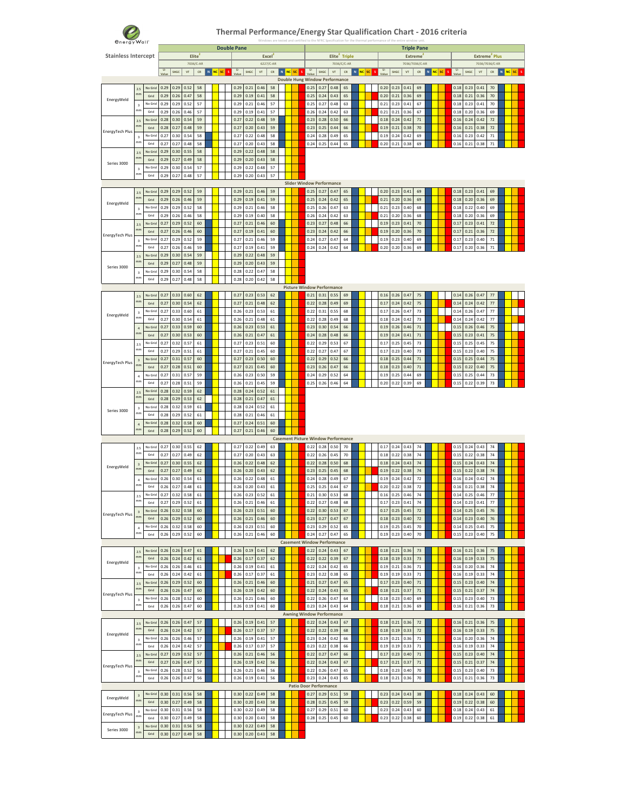

#### **Thermal Performance/Energy Star Qualification Chart ‐ 2016 criteria** Windows are tested and certified to the NFRC Specification for the thermal performance of the entire window unit.

|                            |                                 |                 |              |              |                        |                    |           | <b>Double Pane</b> |              |                        |            |           |       |              |                                       |                        |                                            |           |              |                              |                        | <b>Triple Pane</b>               |              |         |              |              |                        |                                             |                        |
|----------------------------|---------------------------------|-----------------|--------------|--------------|------------------------|--------------------|-----------|--------------------|--------------|------------------------|------------|-----------|-------|--------------|---------------------------------------|------------------------|--------------------------------------------|-----------|--------------|------------------------------|------------------------|----------------------------------|--------------|---------|--------------|--------------|------------------------|---------------------------------------------|------------------------|
| <b>Stainless Intercept</b> |                                 |                 |              |              |                        | Elite<br>7036/C-AR |           |                    |              | <b>Excel</b>           | 6227/C-AR  |           |       |              |                                       |                        | Elite <sup>2</sup> Triple<br>7036/C/C-AR   |           |              |                              |                        | <b>Extreme</b><br>7036/7036/C-AR |              |         |              |              |                        | Extreme <sup>2</sup> Plus<br>7036/7036/C-KR |                        |
|                            |                                 |                 | U-           | SHGC         | $\mathsf{V}\mathsf{T}$ | ${\sf CR}$         | N NC SC S | U-                 | SHGC         | $\mathsf{V}\mathsf{T}$ | ${\sf CR}$ | N NC SC S | U-    |              | ${\sf SHGC}$                          | $\mathsf{V}\mathsf{T}$ | ${\sf CR}$                                 | N NC SC S | U-           | $\ensuremath{\mathsf{SHGC}}$ | $\mathbf{V}\mathbf{T}$ | ${\sf CR}$                       | $\mathbf{N}$ | NC SC S | U-           | ${\sf SHGC}$ | $\mathsf{V}\mathsf{T}$ | ${\sf CR}$                                  | N <mark>NC</mark> SC S |
|                            |                                 |                 | Value        |              |                        |                    |           |                    |              |                        |            |           | Value |              | <b>Double Hung Window Performance</b> |                        |                                            |           |              |                              |                        |                                  |              |         | Value        |              |                        |                                             |                        |
|                            | $2.5\,$                         | No Grid         | 0.29         | 0.29         | 0.52                   | 58                 |           | 0.29               | 0.21         | 0.46                   | 58         |           |       | 0.25         | 0.27                                  | 0.48                   | 65                                         |           | 0.20         | 0.23                         | 0.41                   | 69                               |              |         | 0.18         | 0.23         | 0.41                   | $70\,$                                      |                        |
| EnergyWeld                 | mm                              | Grid            | 0.29         | 0.26         | 0.47                   | 58                 |           | 0.29               | 0.19         | 0.41                   | 58         |           |       | 0.25         | 0.24                                  | 0.43                   | 65                                         |           | 0.20         | 0.21                         | 0.36                   | 69                               |              |         | 0.18         | 0.21         | 0.36                   | 70                                          |                        |
|                            | $\overline{\mathbf{3}}$         | No Grid         | 0.29         | 0.29         | 0.52                   | 57                 |           | 0.29               | 0.21         | 0.46                   | 57         |           |       | 0.25         | 0.27                                  | 0.48                   | 63                                         |           | 0.21         | 0.23                         | 0.41                   | 67                               |              |         | 0.18         | 0.23         | 0.41                   | 70                                          |                        |
|                            | mm                              | Grid            | 0.29         | 0.26         | 0.46                   | 57                 |           | 0.29               | 0.19         | 0.41                   | 57         |           |       | 0.26         | 0.24                                  | 0.42                   | 63                                         |           | 0.21         | 0.21                         | 0.36                   | 67                               |              |         | 0.18         | 0.20         | 0.36                   | 69                                          |                        |
|                            | 2.5                             | No Grid         | 0.28         | 0.30         | 0.54                   | 59                 |           | 0.27               | 0.22         | 0.48                   | 59         |           |       | 0.23         | 0.28                                  | 0.50                   | 66                                         |           | 0.18         | 0.24                         | 0.42                   | $71\,$                           |              |         | 0.16         | 0.24         | 0.42                   | $72\,$                                      |                        |
| EnergyTech Plus            | mm                              | Grid            | 0.28         | 0.27         | 0.48                   | 59                 |           | 0.27               | 0.20         | 0.43                   | 59         |           |       | 0.23         | 0.25                                  | 0.44                   | 66                                         |           | 0.19         | 0.21                         | 0.38                   | $70\,$                           |              |         | 0.16         | 0.21         | 0.38                   | 72                                          |                        |
|                            | $\overline{\mathbf{3}}$         | No Grid         | 0.27         | 0.30         | 0.54                   | 58                 |           | 0.27               | 0.22         | 0.48                   | 58         |           |       | 0.24         | 0.28                                  | 0.49                   | 65                                         |           | 0.19         | 0.24                         | 0.42                   | 69                               |              |         | 0.16         | 0.23         | 0.42                   | 71                                          |                        |
|                            | mm                              | Grid            | 0.27         | 0.27         | 0.48                   | 58                 |           | 0.27               | 0.20         | 0.43                   | 58         |           |       | 0.24         | 0.25                                  | 0.44                   | 65                                         |           | 0.20         | 0.21                         | 0.38                   | 69                               |              |         | 0.16         | 0.21         | 0.38                   | $71\,$                                      |                        |
|                            | 2.5<br>mn                       | No Grid         | 0.29         | 0.30         | 0.55                   | 58                 |           | 0.29               | 0.22         | 0.48                   | 58         |           |       |              |                                       |                        |                                            |           |              |                              |                        |                                  |              |         |              |              |                        |                                             |                        |
| Series 3000                |                                 | Grid            | 0.29         | 0.27         | 0.49                   | 58                 |           | 0.29               | 0.20         | 0.43                   | 58         |           |       |              |                                       |                        |                                            |           |              |                              |                        |                                  |              |         |              |              |                        |                                             |                        |
|                            | $\mathsf 3$<br>mm               | No Grid<br>Grid | 0.29<br>0.29 | 0.30<br>0.27 | 0.54<br>0.48           | 57<br>57           |           | 0.29<br>0.29       | 0.22<br>0.20 | 0.48<br>0.43           | 57<br>57   |           |       |              |                                       |                        |                                            |           |              |                              |                        |                                  |              |         |              |              |                        |                                             |                        |
|                            |                                 |                 |              |              |                        |                    |           |                    |              |                        |            |           |       |              | <b>Slider Window Performance</b>      |                        |                                            |           |              |                              |                        |                                  |              |         |              |              |                        |                                             |                        |
|                            | 25                              | No Grid         | 0.29         | 0.29         | 0.52                   | 59                 |           | 0.29               | 0.21         | 0.46                   | 59         |           |       | 0.25         | 0.27                                  | 0.47                   | 65                                         |           | 0.20         | 0.23                         | 0.41                   | 69                               |              |         | 0.18         | 0.23         | 0.41                   | 69                                          |                        |
|                            | mm                              | Grid            | 0.29         | 0.26         | 0.46                   | 59                 |           | 0.29               | 0.19         | 0.41                   | 59         |           |       | 0.25         | 0.24                                  | 0.42                   | 65                                         |           | 0.21         | 0.20                         | 0.36                   | 69                               |              |         | 0.18         | 0.20         | 0.36                   | 69                                          |                        |
| EnergyWeld                 | $\mathsf 3$                     | No Grid         | 0.29         | 0.29         | 0.52                   | 58                 |           | 0.29               | 0.21         | 0.46                   | 58         |           |       | 0.25         | 0.26                                  | 0.47                   | 63                                         |           | 0.21         | 0.23                         | 0.40                   | 68                               |              |         | 0.18         | 0.22         | 0.40                   | 69                                          |                        |
|                            | mm                              | Grid            | 0.29         | 0.26         | 0.46                   | 58                 |           | 0.29               | 0.19         | 0.40                   | 58         |           |       | 0.26         | 0.24                                  | 0.42                   | 63                                         |           | 0.21         | 0.20                         | 0.36                   | 68                               |              |         | 0.18         | 0.20         | 0.36                   | 69                                          |                        |
|                            | 2.5                             | No Grid         | 0.27         | 0.29         | 0.52                   | 60                 |           | 0.27               | 0.21         | 0.46                   | 60         |           |       | 0.23         | 0.27                                  | 0.48                   | 66                                         |           | 0.19         | 0.23                         | 0.41                   | 70                               |              |         | 0.17         | 0.23         | 0.41                   | 72                                          |                        |
|                            | mm                              | Grid            | 0.27         | 0.26         | 0.46                   | 60                 |           | 0.27               | 0.19         | 0.41                   | 60         |           |       | 0.23         | 0.24                                  | 0.42                   | 66                                         |           | 0.19         | 0.20                         | 0.36                   | 70                               |              |         | 0.17         | 0.21         | 0.36                   | $72\,$                                      |                        |
| EnergyTech Plus            | $\overline{\mathbf{3}}$         | No Grid         | 0.27         | 0.29         | 0.52                   | 59                 |           | 0.27               | 0.21         | 0.46                   | 59         |           |       | 0.24         | 0.27                                  | 0.47                   | 64                                         |           | 0.19         | 0.23                         | 0.40                   | 69                               |              |         | 0.17         | 0.23         | 0.40                   | $71\,$                                      |                        |
|                            | mm                              | Grid            | 0.27         | 0.26         | 0.46                   | 59                 |           | 0.27               | 0.19         | 0.41                   | 59         |           |       | 0.24         | 0.24                                  | 0.42                   | 64                                         |           | 0.20         | 0.20                         | 0.36                   | 69                               |              |         | 0.17         | 0.20         | 0.36                   | $71\,$                                      |                        |
|                            | 2.5                             | No Grid         | 0.29         | 0.30         | 0.54                   | 59                 |           | 0.29               | 0.22         | 0.48                   | 59         |           |       |              |                                       |                        |                                            |           |              |                              |                        |                                  |              |         |              |              |                        |                                             |                        |
| Series 3000                | mm                              | Grid            | 0.29         | 0.27         | 0.48                   | 59                 |           | 0.29               | 0.20         | 0.43                   | 59         |           |       |              |                                       |                        |                                            |           |              |                              |                        |                                  |              |         |              |              |                        |                                             |                        |
|                            | $\overline{\mathbf{3}}$         | No Grid         | 0.29         | 0.30         | 0.54                   | 58                 |           | 0.28               | 0.22         | 0.47                   | 58         |           |       |              |                                       |                        |                                            |           |              |                              |                        |                                  |              |         |              |              |                        |                                             |                        |
|                            | mm                              | Grid            | 0.29         | 0.27         | 0.48                   | 58                 |           | 0.28               | 0.20         | 0.42                   | 58         |           |       |              |                                       |                        |                                            |           |              |                              |                        |                                  |              |         |              |              |                        |                                             |                        |
|                            |                                 |                 |              |              |                        |                    |           |                    |              |                        |            |           |       |              | <b>Picture Window Performance</b>     |                        |                                            |           |              |                              |                        |                                  |              |         |              |              |                        |                                             |                        |
|                            | $2.5\,$<br>mm                   | No Grid         | 0.27         | 0.33         | 0.60                   | 62                 |           | 0.27               | 0.23         | 0.53                   | 62         |           |       | 0.21         | 0.31                                  | 0.55                   | 69                                         |           | 0.16         | 0.26                         | 0.47                   | 75                               |              |         | 0.14         | 0.26         | 0.47                   | 77                                          |                        |
|                            |                                 | Grid            | 0.27         | 0.30         | 0.54                   | 62                 |           | 0.27               | 0.21         | 0.48                   | 62         |           |       | 0.22         | 0.28                                  | 0.49                   | 69                                         |           | 0.17         | 0.24                         | 0.42                   | 75                               |              |         | 0.14         | 0.24         | 0.42                   | 77                                          |                        |
| EnergyWeld                 | $\overline{\mathbf{3}}$<br>mm   | No Grid         | 0.27         | 0.33         | 0.60                   | 61                 |           | 0.26               | 0.23         | 0.53                   | 61         |           |       | 0.22         | 0.31                                  | 0.55                   | 68                                         |           | 0.17         | 0.26                         | 0.47                   | 73                               |              |         | 0.14         | 0.26         | 0.47                   | 77                                          |                        |
|                            |                                 | Grid            | 0.27         | 0.30         | 0.54                   | 61                 |           | 0.26               | 0.21         | 0.48                   | 61         |           |       | 0.22         | 0.28                                  | 0.49                   | 68                                         |           | 0.18         | 0.24                         | 0.42                   | 73                               |              |         | 0.14         | 0.24         | 0.42                   | $77 \,$                                     |                        |
|                            | $\sqrt{4}$<br>mm                | No Grid<br>Grid | 0.27<br>0.27 | 0.33<br>0.30 | 0.59<br>0.53           | 60<br>60           |           | 0.26<br>0.26       | 0.23<br>0.21 | 0.53<br>0.47           | 61<br>61   |           |       | 0.23<br>0.24 | 0.30<br>0.28                          | 0.54<br>0.48           | 66<br>66                                   |           | 0.19<br>0.19 | 0.26<br>0.24                 | 0.46<br>0.41           | $71\,$<br>71                     |              |         | 0.15<br>0.15 | 0.26<br>0.23 | 0.46<br>0.41           | 75                                          |                        |
|                            |                                 | No Grid         | 0.27         | 0.32         | 0.57                   | 61                 |           | 0.27               | 0.23         | 0.51                   | 60         |           |       | 0.22         | 0.29                                  | 0.53                   | 67                                         |           | 0.17         | 0.25                         | 0.45                   | 73                               |              |         | 0.15         | 0.25         | 0.45                   | 75<br>75                                    |                        |
|                            | 2.5<br>mm                       | Grid            | 0.27         | 0.29         | 0.51                   | 61                 |           | 0.27               | 0.21         | 0.45                   | 60         |           |       | 0.22         | 0.27                                  | 0.47                   | 67                                         |           | 0.17         | 0.23                         | 0.40                   | 73                               |              |         | 0.15         | 0.23         | 0.40                   | 75                                          |                        |
|                            |                                 | No Grid         | 0.27         | 0.31         | 0.57                   | 60                 |           | 0.27               | 0.23         | 0.50                   | 60         |           |       | 0.22         | 0.29                                  | 0.52                   | 66                                         |           | 0.18         | 0.25                         | 0.44                   | $71\,$                           |              |         | 0.15         | 0.25         | 0.44                   | 75                                          |                        |
| EnergyTech Plus            | $\ensuremath{\mathsf{3}}$<br>mn | Grid            | 0.27         | 0.28         | 0.51                   | 60                 |           | 0.27               | 0.21         | 0.45                   | 60         |           |       | 0.23         | 0.26                                  | 0.47                   | 66                                         |           | 0.18         | 0.23                         | 0.40                   | $71\,$                           |              |         | 0.15         | 0.22         | 0.40                   | 75                                          |                        |
|                            | $\overline{4}$                  | No Grid         | 0.27         | 0.31         | 0.57                   | 59                 |           | 0.26               | 0.23         | 0.50                   | 59         |           |       | 0.24         | 0.29                                  | 0.52                   | 64                                         |           | 0.19         | 0.25                         | 0.44                   | 69                               |              |         | 0.15         | 0.25         | 0.44                   | 73                                          |                        |
|                            | mm                              | Grid            | 0.27         | 0.28         | 0.51                   | 59                 |           | 0.26               | 0.21         | 0.45                   | 59         |           |       | 0.25         | 0.26                                  | 0.46                   | 64                                         |           | 0.20         | 0.22                         | 0.39                   | 69                               |              |         | 0.15         | 0.22         | 0.39                   | 73                                          |                        |
|                            | 2.5                             | No Grid         | 0.28         | 0.32         | 0.59                   | 62                 |           | 0.28               | 0.24         | 0.52                   | 61         |           |       |              |                                       |                        |                                            |           |              |                              |                        |                                  |              |         |              |              |                        |                                             |                        |
|                            | mn                              | Grid            | 0.28         | 0.29         | 0.53                   | 62                 |           | 0.28               | 0.21         | 0.47                   | 61         |           |       |              |                                       |                        |                                            |           |              |                              |                        |                                  |              |         |              |              |                        |                                             |                        |
|                            | $\mathsf 3$                     | No Grid         | 0.28         | 0.32         | 0.59                   | 61                 |           | 0.28               | 0.24         | 0.52                   | 61         |           |       |              |                                       |                        |                                            |           |              |                              |                        |                                  |              |         |              |              |                        |                                             |                        |
| Series 3000                | mm                              | Grid            | 0.28         | 0.29         | 0.52                   | 61                 |           | 0.28               | 0.21         | 0.46                   | 61         |           |       |              |                                       |                        |                                            |           |              |                              |                        |                                  |              |         |              |              |                        |                                             |                        |
|                            | $\overline{4}$                  | No Grid         | 0.28         | 0.32         | 0.58                   | 60                 |           | 0.27               | 0.24         | 0.51                   | 60         |           |       |              |                                       |                        |                                            |           |              |                              |                        |                                  |              |         |              |              |                        |                                             |                        |
|                            | mm                              | Grid            | 0.28         | 0.29         | 0.52                   | 60                 |           | 0.27               | 0.21         | 0.46                   | 60         |           |       |              |                                       |                        |                                            |           |              |                              |                        |                                  |              |         |              |              |                        |                                             |                        |
|                            |                                 |                 |              |              |                        |                    |           |                    |              |                        |            |           |       |              |                                       |                        | <b>Casement Picture Window Performance</b> |           |              |                              |                        |                                  |              |         |              |              |                        |                                             |                        |
|                            | $2.5\,$                         | No Grid         | 0.27         | 0.30         | 0.55                   | 62                 |           | 0.27               | 0.22         | 0.49                   | 63         |           |       | 0.22         | 0.28                                  | 0.50                   | 70                                         |           | 0.17         | 0.24                         | 0.43                   | 74                               |              |         | 0.15         | 0.24         | 0.43                   | 74                                          |                        |
|                            | mm                              | Grid            | 0.27         | 0.27         | 0.49                   | 62                 |           | 0.27               | 0.20         | 0.43                   | 63         |           |       | 0.22         | 0.26                                  | 0.45                   | 70                                         |           | 0.18         | 0.22                         | 0.38                   | 74                               |              |         | 0.15         | 0.22         | 0.38                   | 74                                          |                        |
| EnergyWeld                 | $\overline{\mathbf{3}}$<br>mm   | No Grid         | 0.27         | 0.30         | 0.55                   | 62                 |           | 0.26               | 0.22         | 0.48                   | 62         |           |       | 0.22         | 0.28                                  | 0.50                   | 68                                         |           | 0.18         | 0.24                         | 0.43                   | 74                               |              |         | 0.15         | 0.24         | 0.43                   | 74                                          |                        |
|                            |                                 | Grid            | 0.27         | 0.27         | 0.49                   | 62                 |           | 0.26               | 0.20         | 0.43                   | 62         |           |       | 0.23         | 0.25                                  | 0.45                   | 68                                         |           | 0.19         | 0.22                         | 0.38                   | 74                               |              |         | 0.15         | 0.22         | 0.38                   | 74                                          |                        |
|                            | $\overline{4}$<br>mm            | No Grid         | 0.26         | 0.30         | 0.54                   | 61                 |           | 0.26               | 0.22         | 0.48                   | 61         |           |       | 0.24         | 0.28                                  | 0.49                   | 67                                         |           | 0.19         | 0.24                         | 0.42                   | 72                               |              |         | 0.16         | 0.24         | 0.42                   | 74                                          |                        |
|                            |                                 | Grid            | 0.26         | 0.27         | 0.48                   | 61                 |           | 0.26               | 0.20         | 0.43                   | 61         |           |       | 0.25         | 0.25                                  | 0.44                   | 67                                         |           | 0.20         | 0.22                         | 0.38                   | $72\,$                           |              |         | 0.16         | 0.21         | 0.38                   | 74                                          |                        |
|                            | 2.5<br>mm                       | No Grid<br>Grid | 0.27<br>0.27 | 0.32<br>0.29 | 0.58                   | 61                 |           | 0.26<br>0.26       | 0.23<br>0.21 | 0.52<br>0.46           | 61         |           |       | 0.21         | 0.30<br>0.27                          | 0.53<br>0.48           | 68<br>68                                   |           | 0.16<br>0.17 | 0.25<br>0.23                 | 0.46                   | 74<br>74                         |              |         | 0.14         | 0.25<br>0.23 | 0.46<br>0.41           | 77<br>77                                    |                        |
|                            |                                 |                 |              |              | 0.52                   | 61                 |           |                    |              |                        | 61         |           |       | 0.22         |                                       |                        |                                            |           |              |                              | 0.41                   |                                  |              |         | 0.14         |              |                        |                                             |                        |
| EnergyTech Plus            | $\overline{3}$<br>mn            | No Grid<br>Grid | 0.26<br>0.26 | 0.32<br>0.29 | 0.58<br>0.52           | 60<br>60           |           | 0.26<br>0.26       | 0.23<br>0.21 | 0.51<br>0.46           | 60<br>60   |           |       | 0.22<br>0.23 | 0.30<br>0.27                          | 0.53<br>0.47           | 67<br>67                                   |           | 0.17<br>0.18 | 0.25<br>0.23                 | 0.45<br>0.40           | $72\,$<br>$72\,$                 |              |         | 0.14<br>0.14 | 0.25<br>0.23 | 0.45<br>0.40           | 76<br>76                                    |                        |
|                            |                                 | No Grid         | 0.26         | 0.32         | 0.58                   | 60                 |           | 0.26               | 0.23         | 0.51                   | 60         |           |       | 0.23         | 0.29                                  | 0.52                   | 65                                         |           | 0.19         | 0.25                         | 0.45                   | 70                               |              |         | 0.14         | 0.25         | 0.45                   | 75                                          |                        |
|                            | $\,$ 4 $\,$<br>mm               | Grid            | 0.26         | 0.29         | 0.52                   | 60                 |           | 0.26               | 0.21         | 0.46                   | 60         |           |       | 0.24         | 0.27                                  | 0.47                   | 65                                         |           | 0.19         | 0.23                         | 0.40                   | 70                               |              |         | 0.15         | 0.23         | 0.40                   | 75                                          |                        |
|                            |                                 |                 |              |              |                        |                    |           |                    |              |                        |            |           |       |              | <b>Casement Window Performance</b>    |                        |                                            |           |              |                              |                        |                                  |              |         |              |              |                        |                                             |                        |
|                            | 25                              | No Grid         | 0.26         | 0.26         | 0.47                   | 61                 |           | 0.26               | 0.19         | 0.41                   | 62         |           |       | 0.22         | 0.24                                  | 0.43                   | 67                                         |           | 0.18         | 0.21                         | 0.36                   | 73                               |              |         | 0.16         | 0.21         | 0.36                   | 75                                          |                        |
|                            | mm                              | Grid            | 0.26         | 0.24         | 0.42                   | 61                 |           | 0.26               | 0.17         | 0.37                   | 62         |           |       | 0.22         | 0.22                                  | 0.39                   | 67                                         |           | 0.18         | 0.19                         | 0.33                   | 73                               |              |         | 0.16         | 0.19         | 0.33                   | 75                                          |                        |
| EnergyWeld                 | $\mathsf 3$                     | No Grid         | 0.26         | 0.26         | 0.46                   | 61                 |           | 0.26               | 0.19         | 0.41                   | 61         |           |       | 0.22         | 0.24                                  | 0.42                   | 65                                         |           | 0.19         | 0.21                         | 0.36                   | 71                               |              |         | 0.16         | 0.20         | 0.36                   | 74                                          |                        |
|                            | mm                              | Grid            | 0.26         | 0.24         | 0.42                   | 61                 |           | 0.26               | 0.17         | 0.37                   | 61         |           |       | 0.23         | 0.22                                  | 0.38                   | 65                                         |           | 0.19         | 0.19                         | 0.33                   | 71                               |              |         | 0.16         | 0.19         | 0.33                   | 74                                          |                        |
|                            | 2.5                             | No Grid         | 0.26         | 0.29         | 0.52                   | 60                 |           | 0.26               | 0.21         | 0.46                   | 60         |           |       | 0.21         | 0.27                                  | 0.47                   | 65                                         |           | 0.17         | 0.23                         | 0.40                   | 71                               |              |         | 0.15         | 0.23         | 0.40                   | 74                                          |                        |
|                            | mm                              | Grid            | 0.26         | 0.26         | 0.47                   | 60                 |           | 0.26               | 0.19         | 0.42                   | 60         |           |       | 0.22         | 0.24                                  | 0.43                   | 65                                         |           | 0.18         | 0.21                         | 0.37                   | $71\,$                           |              |         | 0.15         | 0.21         | 0.37                   | 74                                          |                        |
| EnergyTech Plus            | $\overline{\mathbf{3}}$         | No Grid         | 0.26         | 0.28         | 0.52                   | 60                 |           | 0.26               | 0.21         | 0.46                   | 60         |           |       | 0.22         | 0.26                                  | 0.47                   | 64                                         |           | 0.18         | 0.23                         | 0.40                   | 69                               |              |         | 0.15         | 0.23         | 0.40                   | 73                                          |                        |
|                            | mm                              | Grid            | 0.26         | 0.26         | 0.47                   | 60                 |           | 0.26               | 0.19         | 0.41                   | 60         |           |       | 0.23         | 0.24                                  | 0.43                   | 64                                         |           | 0.18         | 0.21                         | 0.36                   | 69                               |              |         | 0.16         | 0.21         | 0.36                   | 73                                          |                        |
|                            |                                 |                 |              |              |                        |                    |           |                    |              |                        |            |           |       |              | <b>Awning Window Performance</b>      |                        |                                            |           |              |                              |                        |                                  |              |         |              |              |                        |                                             |                        |
|                            | 2.5                             | No Grid         | 0.26         | 0.26         | 0.47                   | 57                 |           | 0.26               | 0.19         | 0.41                   | 57         |           |       | 0.22         | 0.24                                  | 0.43                   | 67                                         |           | 0.18         | 0.21                         | 0.36                   | 72                               |              |         | 0.16         | 0.21         | 0.36                   | 75                                          |                        |
| EnergyWeld                 | mm                              | Grid            | 0.26         | 0.24         | 0.42                   | 57                 |           | 0.26               | 0.17         | 0.37                   | 57         |           |       | 0.22         | 0.22                                  | 0.39                   | 68                                         |           | 0.18         | 0.19                         | 0.33                   | $72\,$                           |              |         | 0.16         | 0.19         | 0.33                   | 75                                          |                        |
|                            | $\overline{\mathbf{3}}$         | No Grid         | 0.26         | 0.26         | 0.46                   | 57                 |           | 0.26               | 0.19         | 0.41                   | 57         |           |       | 0.23         | 0.24                                  | 0.42                   | 66                                         |           | 0.19         | 0.21                         | 0.36                   | $71\,$                           |              |         | 0.16         | 0.20         | 0.36                   | 74                                          |                        |
|                            | mm                              | Grid            | 0.26         | 0.24         | 0.42                   | 57                 |           | 0.26               | 0.17         | 0.37                   | 57         |           |       | 0.23         | 0.22                                  | 0.38                   | 66                                         |           | 0.19         | 0.19                         | 0.33                   | 71                               |              |         | 0.16         | 0.19         | 0.33                   | 74                                          |                        |
|                            | 2.5<br>mm                       | No Grid         | 0.27         | 0.29         | 0.52                   | 57                 |           | 0.26               | 0.21         | 0.46                   | 56         |           |       | 0.22         | 0.27                                  | 0.47                   | 66                                         |           | 0.17         | 0.23                         | 0.40                   | 71                               |              |         | 0.15         | 0.23         | 0.40                   | 74                                          |                        |
| EnergyTech Plus            |                                 | Grid            | 0.27         | 0.26         | 0.47                   | 57                 |           | 0.26               | 0.19         | 0.42                   | 56         |           |       | 0.22         | 0.24                                  | 0.43                   | 67                                         |           | 0.17         | 0.21                         | 0.37                   | 71                               |              |         | 0.15         | 0.21         | 0.37                   | 74                                          |                        |
|                            | $\overline{\mathbf{3}}$<br>mm   | No Grid<br>Grid | 0.26<br>0.26 | 0.28<br>0.26 | 0.52<br>0.47           | 56<br>56           |           | 0.26<br>0.26       | 0.21<br>0.19 | 0.46<br>0.41           | 56<br>56   |           |       | 0.22<br>0.23 | 0.26<br>0.24                          | 0.47<br>0.43           | 65<br>65                                   |           | 0.18<br>0.18 | 0.23<br>0.21                 | 0.40<br>0.36           | 70<br>70                         |              |         | 0.15<br>0.15 | 0.23<br>0.21 | 0.40<br>0.36           | 73<br>73                                    |                        |
|                            |                                 |                 |              |              |                        |                    |           |                    |              |                        |            |           |       |              | <b>Patio Door Performance</b>         |                        |                                            |           |              |                              |                        |                                  |              |         |              |              |                        |                                             |                        |
|                            |                                 | No Grid         | 0.30         | 0.31         | 0.56                   | 58                 |           | 0.30               | 0.22         | 0.49                   | 58         |           |       | 0.27         | 0.29                                  | 0.51                   | 59                                         |           | 0.23         | 0.24                         | 0.43                   | 38                               |              |         | 0.18         | 0.24         | 0.43                   | 60                                          |                        |
| EnergyWeld                 | $\overline{3}$<br>mm            | Grid            | 0.30         | 0.27         | 0.49                   | 58                 |           | 0.30               | 0.20         | 0.43                   | 58         |           |       | 0.28         | 0.25                                  | 0.45                   | 59                                         |           | 0.23         | 0.22                         | 0.59                   | 59                               |              |         | 0.19         | 0.22         | 0.38                   | 60                                          |                        |
|                            | $\overline{\mathbf{3}}$         | No Grid         | 0.30         | 0.31         | 0.56                   | 58                 |           | 0.30               | 0.22         | 0.49                   | 58         |           |       | 0.27         | 0.29                                  | 0.51                   | 60                                         |           | 0.23         | 0.24                         | 0.43                   | 60                               |              |         | 0.18         | 0.24         | 0.43                   | 61                                          |                        |
| EnergyTech Plus            | mm                              | Grid            | 0.30         | 0.27         | 0.49                   | 58                 |           | 0.30               | 0.20         | 0.43                   | 58         |           |       | 0.28         | 0.25                                  | 0.45                   | 60                                         |           | 0.23         | 0.22                         | 0.38                   | 60                               |              |         | 0.19         | 0.22         | 0.38                   | 61                                          |                        |
|                            | $\mathsf 3$                     | No Grid         | 0.30         | 0.31         | 0.56                   | 58                 |           | 0.30               | 0.22         | 0.49                   | 58         |           |       |              |                                       |                        |                                            |           |              |                              |                        |                                  |              |         |              |              |                        |                                             |                        |
| Series 3000                | mm                              | Grid            | 0.30         | 0.27         | 0.49                   | 58                 |           | 0.30               | 0.20         | 0.43                   | 58         |           |       |              |                                       |                        |                                            |           |              |                              |                        |                                  |              |         |              |              |                        |                                             |                        |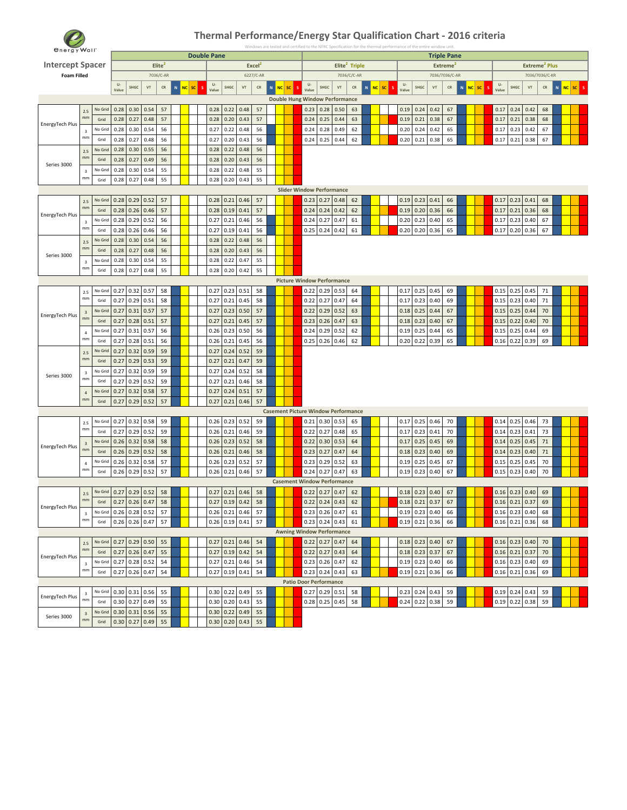

| <b><i><u>Energy</u></i></b> Wall |                               |                 |                      |                  |                        |                    |         |   |                    |                  |               |                    |                |           |                                            |             |                           |      |            |       |              | ication for the thermal performance of the entire window unit |                                            |                |           |       |             |                  |                           |   |         |  |
|----------------------------------|-------------------------------|-----------------|----------------------|------------------|------------------------|--------------------|---------|---|--------------------|------------------|---------------|--------------------|----------------|-----------|--------------------------------------------|-------------|---------------------------|------|------------|-------|--------------|---------------------------------------------------------------|--------------------------------------------|----------------|-----------|-------|-------------|------------------|---------------------------|---|---------|--|
| <b>Intercept Spacer</b>          |                               |                 |                      |                  |                        | Elite <sup>2</sup> |         |   | <b>Double Pane</b> |                  |               | Excel <sup>2</sup> |                |           |                                            |             | Elite <sup>2</sup> Triple |      |            |       |              |                                                               | <b>Triple Pane</b><br>Extreme <sup>2</sup> |                |           |       |             |                  | Extreme <sup>2</sup> Plus |   |         |  |
| <b>Foam Filled</b>               |                               |                 |                      |                  |                        | 7036/C-AR          |         |   |                    |                  |               | 6227/C-AR          |                |           |                                            |             | 7036/C/C-AR               |      |            |       |              |                                                               | 7036/7036/C-AR                             |                |           |       |             |                  | 7036/7036/C-KR            |   |         |  |
|                                  |                               |                 | $\mathsf{U}\text{-}$ |                  |                        |                    |         |   | U-                 |                  |               |                    |                |           | U-                                         |             |                           |      |            | U-    |              |                                                               |                                            |                |           | U-    |             |                  |                           |   |         |  |
|                                  |                               |                 | Value                | SHGC             | $\mathsf{V}\mathsf{T}$ | ${\sf CR}$         | N NC SC | s | Value              | SHGC             | ${\tt VT}$    | ${\sf CR}$         | N<br><b>NC</b> | <b>SC</b> | <b>SHGC</b><br>Value                       | ${\rm VT}$  | ${\sf CR}$                | N NC | ${\sf sc}$ | Value |              | SHGC<br>${\tt VT}$                                            | ${\sf CR}$                                 | N<br><b>NC</b> | $\sf{sc}$ | Value | <b>SHGC</b> | ${\tt VT}$       | ${\sf CR}$                | N | NC SC S |  |
|                                  |                               |                 |                      |                  |                        |                    |         |   |                    |                  |               |                    |                |           | <b>Double Hung Window Performance</b>      |             |                           |      |            |       |              |                                                               |                                            |                |           |       |             |                  |                           |   |         |  |
|                                  | $2.5\,$<br>mm                 | No Grid         | 0.28                 | 0.30             | 0.54                   | 57                 |         |   | 0.28               | 0.22             | 0.48          | 57                 |                |           | 0.23<br>0.28                               | 0.50        | 63                        |      |            |       | 0.19         | 0.24<br>0.42                                                  | 67                                         |                |           | 0.17  | 0.24        | 0.42             | 68                        |   |         |  |
| EnergyTech Plus                  |                               | Grid            | 0.28                 | 0.27             | 0.48                   | 57                 |         |   | 0.28               | 0.20             | 0.43          | 57                 |                |           | 0.24<br>0.25                               | 0.44        | 63                        |      |            |       | 0.19         | 0.21<br>0.38                                                  | 67                                         |                |           | 0.17  | 0.21        | 0.38             | 68                        |   |         |  |
|                                  | 3                             | No Grid         | 0.28                 | 0.30             | 0.54                   | 56                 |         |   | 0.27               | 0.22             | 0.48          | 56                 |                |           | 0.28<br>0.24                               | 0.49        | 62                        |      |            |       | 0.20         | 0.24<br>0.42                                                  | 65                                         |                |           | 0.17  | 0.23        | 0.42             | 67                        |   |         |  |
|                                  | mm                            | Grid            | 0.28                 | 0.27             | 0.48                   | 56                 |         |   | 0.27               | 0.20             | 0.43          | 56                 |                |           | 0.24<br>0.25                               | 0.44        | 62                        |      |            | 0.20  |              | 0.21<br>0.38                                                  | 65                                         |                |           | 0.17  | 0.21        | 0.38             | 67                        |   |         |  |
|                                  | $2.5\,$<br>mm                 | No Grid         | 0.28                 | 0.30             | 0.55                   | 56                 |         |   | 0.28               | 0.22             | 0.48          | 56                 |                |           |                                            |             |                           |      |            |       |              |                                                               |                                            |                |           |       |             |                  |                           |   |         |  |
| Series 3000                      |                               | Grid            | 0.28                 | 0.27             | 0.49                   | 56                 |         |   | 0.28               | 0.20             | 0.43          | 56                 |                |           |                                            |             |                           |      |            |       |              |                                                               |                                            |                |           |       |             |                  |                           |   |         |  |
|                                  | $\overline{\mathbf{3}}$       | No Grid         | 0.28                 | 0.30             | 0.54                   | 55                 |         |   | 0.28               | 0.22             | 0.48          | 55                 |                |           |                                            |             |                           |      |            |       |              |                                                               |                                            |                |           |       |             |                  |                           |   |         |  |
|                                  | mm                            | Grid            | 0.28                 | 0.27             | 0.48                   | 55                 |         |   | 0.28               | 0.20             | 0.43          | 55                 |                |           |                                            |             |                           |      |            |       |              |                                                               |                                            |                |           |       |             |                  |                           |   |         |  |
|                                  |                               |                 |                      |                  |                        |                    |         |   |                    |                  |               |                    |                |           | <b>Slider Window Performance</b>           |             |                           |      |            |       |              |                                                               |                                            |                |           |       |             |                  |                           |   |         |  |
|                                  | 2.5<br>mm                     | No Grid         | 0.28                 | 0.29             | 0.52                   | 57                 |         |   | 0.28               | $0.21$ 0.46      |               | 57                 |                |           | $0.23$ 0.27 0.48                           |             | 62                        |      |            |       | 0.19         | $0.23$ 0.41                                                   | 66                                         |                |           | 0.17  | 0.23        | 0.41             | 68                        |   |         |  |
| EnergyTech Plus                  |                               | Grid            | 0.28                 | 0.26             | 0.46                   | 57                 |         |   | 0.28               | 0.19             | 0.41          | 57                 |                |           | 0.24<br>0.24                               | 0.42        | 62                        |      |            |       | 0.19         | $0.20 \, 0.36$                                                | 66                                         |                |           | 0.17  | 0.21        | 0.36             | 68                        |   |         |  |
|                                  | $\overline{\mathbf{3}}$<br>mm | No Grid         | 0.28                 | 0.29             | 0.52                   | 56                 |         |   | 0.27               | 0.21             | 0.46          | 56                 |                |           | 0.24<br>0.27                               | 0.47        | 61                        |      |            |       | 0.20         | 0.23<br>0.40                                                  | 65                                         |                |           | 0.17  | 0.23        | 0.40             | 67                        |   |         |  |
|                                  |                               | Grid            | 0.28                 | 0.26             | 0.46                   | 56                 |         |   | 0.27               | 0.19             | 0.41          | 56                 |                |           | 0.25<br>0.24                               | 0.42        | 61                        |      |            |       | 0.20         | $0.20 \ 0.36$                                                 | 65                                         |                |           | 0.17  | 0.20        | 0.36             | 67                        |   |         |  |
|                                  | $2.5\,$<br>mm                 | No Grid         | 0.28                 | 0.30             | 0.54                   | 56                 |         |   | 0.28               | 0.22             | 0.48          | 56                 |                |           |                                            |             |                           |      |            |       |              |                                                               |                                            |                |           |       |             |                  |                           |   |         |  |
| Series 3000                      |                               | Grid            | 0.28                 | 0.27             | 0.48                   | 56                 |         |   | 0.28               | 0.20             | 0.43          | 56                 |                |           |                                            |             |                           |      |            |       |              |                                                               |                                            |                |           |       |             |                  |                           |   |         |  |
|                                  | $\overline{\mathbf{3}}$<br>mm | No Grid         | 0.28                 | 0.30             | 0.54                   | 55                 |         |   | 0.28               | 0.22             | 0.47          | 55                 |                |           |                                            |             |                           |      |            |       |              |                                                               |                                            |                |           |       |             |                  |                           |   |         |  |
|                                  |                               | Grid            | 0.28                 | 0.27             | 0.48                   | 55                 |         |   | 0.28               | 0.20             | 0.42          | 55                 |                |           |                                            |             |                           |      |            |       |              |                                                               |                                            |                |           |       |             |                  |                           |   |         |  |
|                                  |                               |                 |                      |                  |                        |                    |         |   |                    |                  |               |                    |                |           | <b>Picture Window Performance</b>          |             |                           |      |            |       |              |                                                               |                                            |                |           |       |             |                  |                           |   |         |  |
|                                  | $2.5\,$<br>mm                 | No Grid         |                      | $0.27$ 0.32      | 0.57                   | 58                 |         |   | 0.27               | $0.23$ 0.51      |               | 58                 |                |           | $0.22$ 0.29 0.53                           |             | 64                        |      |            |       | 0.17         | $0.25$ 0.45                                                   | 69                                         |                |           |       |             | $0.15$ 0.25 0.45 | 71                        |   |         |  |
|                                  |                               | Grid            | 0.27                 | 0.29             | 0.51                   | 58                 |         |   | 0.27               | 0.21             | 0.45          | 58                 |                |           | 0.22<br>0.27                               | 0.47        | 64                        |      |            |       | 0.17         | $0.23$ 0.40                                                   | 69                                         |                |           | 0.15  | 0.23        | 0.40             | 71                        |   |         |  |
| EnergyTech Plus                  | $\overline{\mathbf{3}}$<br>mn | No Grid         | 0.27                 | 0.31             | 0.57                   | 57                 |         |   | 0.27               | $0.23$ 0.50      |               | 57                 |                |           | 0.22                                       | $0.29$ 0.52 | 63                        |      |            |       | 0.18         | $0.25$ 0.44                                                   | 67                                         |                |           | 0.15  | 0.25        | 0.44             | 70                        |   |         |  |
|                                  |                               | Grid            | 0.27                 | 0.28<br>0.31     | 0.51<br>0.57           | 57                 |         |   | 0.27               | 0.21             | 0.45          | 57                 |                |           | 0.23<br>0.24                               | $0.26$ 0.47 | 63                        |      |            |       | 0.18<br>0.19 | $0.23 \, 0.40$                                                | 67                                         |                |           | 0.15  | 0.22        | 0.40             | 70                        |   |         |  |
|                                  | $\sqrt{4}$<br>mm              | No Grid         | 0.27                 |                  |                        | 56                 |         |   | 0.26               | 0.23             | 0.50          | 56                 |                |           | 0.29                                       | 0.52        | 62                        |      |            |       |              | 0.25<br>0.44                                                  | 65                                         |                |           | 0.15  | 0.25        | 0.44             | 69                        |   |         |  |
|                                  |                               | Grid            | 0.27                 | 0.28             | 0.51                   | 56                 |         |   | 0.26               | 0.21             | 0.45          | 56                 |                |           | 0.25<br>0.26                               | 0.46        | 62                        |      |            |       | 0.20         | 0.22<br>0.39                                                  | 65                                         |                |           | 0.16  | 0.22        | 0.39             | 69                        |   |         |  |
|                                  | 2.5<br>mm                     | No Grid         | 0.27                 | 0.32             | 0.59                   | 59                 |         |   | 0.27               | 0.24             | 0.52          | 59                 |                |           |                                            |             |                           |      |            |       |              |                                                               |                                            |                |           |       |             |                  |                           |   |         |  |
|                                  |                               | Grid            | 0.27                 | 0.29             | 0.53                   | 59                 |         |   | 0.27               | 0.21             | 0.47          | 59                 |                |           |                                            |             |                           |      |            |       |              |                                                               |                                            |                |           |       |             |                  |                           |   |         |  |
| Series 3000                      | $\overline{\mathbf{3}}$<br>mm | No Grid         | 0.27                 | 0.32             | 0.59                   | 59                 |         |   | 0.27               | 0.24             | 0.52          | 58                 |                |           |                                            |             |                           |      |            |       |              |                                                               |                                            |                |           |       |             |                  |                           |   |         |  |
|                                  |                               | Grid<br>No Grid | 0.27                 | 0.29             | 0.52                   | 59                 |         |   | 0.27               | 0.21             | 0.46          | 58                 |                |           |                                            |             |                           |      |            |       |              |                                                               |                                            |                |           |       |             |                  |                           |   |         |  |
|                                  | $\sqrt{4}$<br>mm              | Grid            | 0.27<br>0.27         | 0.32<br>0.29     | 0.58<br>0.52           | 57<br>57           |         |   | 0.27<br>0.27       | 0.24<br>0.21     | 0.51<br>0.46  | 57<br>57           |                |           |                                            |             |                           |      |            |       |              |                                                               |                                            |                |           |       |             |                  |                           |   |         |  |
|                                  |                               |                 |                      |                  |                        |                    |         |   |                    |                  |               |                    |                |           | <b>Casement Picture Window Performance</b> |             |                           |      |            |       |              |                                                               |                                            |                |           |       |             |                  |                           |   |         |  |
|                                  |                               | No Grid         | 0.27                 | 0.32             | 0.58                   | 59                 |         |   | 0.26               |                  | $0.23$ $0.52$ | 59                 |                |           | 0.21 0.30 0.53                             |             | 65                        |      |            |       | 0.17         | $0.25$ 0.46                                                   | 70                                         |                |           | 0.14  | 0.25        | 0.46             | 73                        |   |         |  |
|                                  | 2.5<br>mm                     | Grid            | 0.27                 | 0.29             | 0.52                   | 59                 |         |   | 0.26               | 0.21             | 0.46          | 59                 |                |           | 0.22                                       | $0.27$ 0.48 | 65                        |      |            |       | 0.17         | $0.23$ 0.41                                                   | 70                                         |                |           | 0.14  | 0.23        | 0.41             | 73                        |   |         |  |
|                                  |                               | No Grid         | 0.26                 | 0.32             | 0.58                   | 58                 |         |   | 0.26               | 0.23             | 0.52          | 58                 |                |           | 0.22<br>0.30                               | 0.53        | 64                        |      |            | 0.17  |              | $0.25$ 0.45                                                   | 69                                         |                |           | 0.14  | 0.25        | 0.45             | 71                        |   |         |  |
| EnergyTech Plus                  | $\overline{\mathbf{3}}$<br>mm | Grid            | 0.26                 | 0.29             | 0.52                   | 58                 |         |   | 0.26               | 0.21             | 0.46          | 58                 |                |           | 0.23<br>0.27                               | 0.47        | 64                        |      |            |       | 0.18         | $0.23$ 0.40                                                   | 69                                         |                |           | 0.14  | 0.23        | 0.40             | 71                        |   |         |  |
|                                  |                               | No Grid         | 0.26                 | 0.32             | 0.58                   | 57                 |         |   | 0.26               | 0.23             | 0.52          | 57                 |                |           | 0.23<br>0.29                               | 0.52        | 63                        |      |            |       | 0.19         | 0.25<br>0.45                                                  | 67                                         |                |           | 0.15  | 0.25        | 0.45             | 70                        |   |         |  |
|                                  | $\sqrt{4}$<br>mm              | Grid            | 0.26                 | 0.29             | 0.52                   | 57                 |         |   | 0.26               | 0.21             | 0.46          | 57                 |                |           | 0.24<br>0.27                               | 0.47        | 63                        |      |            |       | 0.19         | 0.23<br>0.40                                                  | 67                                         |                |           | 0.15  | 0.23        | 0.40             | 70                        |   |         |  |
|                                  |                               |                 |                      |                  |                        |                    |         |   |                    |                  |               |                    |                |           | <b>Casement Window Performance</b>         |             |                           |      |            |       |              |                                                               |                                            |                |           |       |             |                  |                           |   |         |  |
|                                  | $2.5\,$                       | No Grid         |                      | $0.27$ 0.29 0.52 |                        | 58                 |         |   |                    | $0.27$ 0.21 0.46 |               | 58                 |                |           | $0.22$ 0.27 0.47                           |             | 62                        |      |            |       |              | $0.18$ 0.23 0.40                                              | 67                                         |                |           |       |             | $0.16$ 0.23 0.40 | 69                        |   |         |  |
|                                  | $\mathsf{mm}$                 | Grid            |                      |                  | $0.27$ 0.26 0.47       | 58                 |         |   |                    | $0.27$ 0.19 0.42 |               | 58                 |                |           | $0.22$ 0.24 0.43                           |             | 62                        |      |            |       | 0.18         | $0.21$ 0.37                                                   | 67                                         |                |           |       |             | $0.16$ 0.21 0.37 | 69                        |   |         |  |
| EnergyTech Plus                  | $\overline{\mathbf{3}}$       | No Grid         |                      | $0.26$ 0.28 0.52 |                        | 57                 |         |   |                    | $0.26$ 0.21 0.46 |               | 57                 |                |           | $0.23$ 0.26 0.47                           |             | 61                        |      |            |       |              | $0.19$ 0.23 0.40                                              | 66                                         |                |           |       |             | $0.16$ 0.23 0.40 | 68                        |   |         |  |
|                                  | mm                            | Grid            |                      | $0.26$ 0.26 0.47 |                        | 57                 |         |   |                    | $0.26$ 0.19 0.41 |               | 57                 |                |           | 0.23 0.24 0.43                             |             | 61                        |      |            |       |              | $0.19$ 0.21 0.36                                              | 66                                         |                |           |       |             | $0.16$ 0.21 0.36 | 68                        |   |         |  |
|                                  |                               |                 |                      |                  |                        |                    |         |   |                    |                  |               |                    |                |           | <b>Awning Window Performance</b>           |             |                           |      |            |       |              |                                                               |                                            |                |           |       |             |                  |                           |   |         |  |
|                                  | 2.5                           | No Grid         | 0.27                 | 0.29             | 0.50                   | 55                 |         |   | 0.27               | $0.21$ 0.46      |               | 54                 |                |           | $0.22$ 0.27 0.47                           |             | 64                        |      |            |       | 0.18         | $0.23$ 0.40                                                   | 67                                         |                |           |       |             | $0.16$ 0.23 0.40 | 70                        |   |         |  |
|                                  | mm                            | Grid            | 0.27                 | 0.26             | 0.47                   | 55                 |         |   | 0.27               | 0.19             | 0.42          | 54                 |                |           | 0.22<br>0.27                               | 0.43        | 64                        |      |            |       | 0.18         | $0.23$ 0.37                                                   | 67                                         |                |           | 0.16  | 0.21        | 0.37             | 70                        |   |         |  |
| EnergyTech Plus                  | $\overline{\mathbf{3}}$       | No Grid         | $0.27$ 0.28          |                  | 0.52                   | 54                 |         |   | 0.27               | $0.21$ 0.46      |               | 54                 |                |           | $0.23$ 0.26 0.47                           |             | 62                        |      |            |       | 0.19         | $0.23$ 0.40                                                   | 66                                         |                |           |       | $0.16$ 0.23 | 0.40             | 69                        |   |         |  |
|                                  | mm                            | Grid            | 0.27                 | 0.26             | 0.47                   | 54                 |         |   | 0.27               | 0.19             | 0.41          | 54                 |                |           | 0.23                                       | $0.24$ 0.43 | 63                        |      |            |       | 0.19         | 0.21<br>0.36                                                  | 66                                         |                |           | 0.16  | 0.21        | 0.36             | 69                        |   |         |  |
|                                  |                               |                 |                      |                  |                        |                    |         |   |                    |                  |               |                    |                |           | <b>Patio Door Performance</b>              |             |                           |      |            |       |              |                                                               |                                            |                |           |       |             |                  |                           |   |         |  |
|                                  | $\overline{\mathbf{3}}$       | No Grid         |                      | $0.30 \ 0.31$    | 0.56                   | 55                 |         |   |                    | $0.30$ 0.22 0.49 |               | 55                 |                |           | $0.27$ 0.29 0.51                           |             | 58                        |      |            |       |              | $0.23$ 0.24 0.43                                              | 59                                         |                |           |       |             | $0.19$ 0.24 0.43 | 59                        |   |         |  |
| EnergyTech Plus                  | mm                            | Grid            | 0.30                 | 0.27             | 0.49                   | 55                 |         |   |                    | $0.30$ 0.20 0.43 |               | 55                 |                |           | $0.28$ 0.25 0.45                           |             | 58                        |      |            |       |              | $0.24$ 0.22 0.38                                              | 59                                         |                |           |       |             | $0.19$ 0.22 0.38 | 59                        |   |         |  |
|                                  | $\mathsf 3$                   | No Grid         | 0.30                 | 0.31             | 0.56                   | 55                 |         |   | 0.30               | 0.22             | 0.49          | 55                 |                |           |                                            |             |                           |      |            |       |              |                                                               |                                            |                |           |       |             |                  |                           |   |         |  |
| Series 3000                      | mm                            | Grid            | 0.30                 | 0.27             | 0.49                   | 55                 |         |   |                    | $0.30$ 0.20 0.43 |               | 55                 |                |           |                                            |             |                           |      |            |       |              |                                                               |                                            |                |           |       |             |                  |                           |   |         |  |